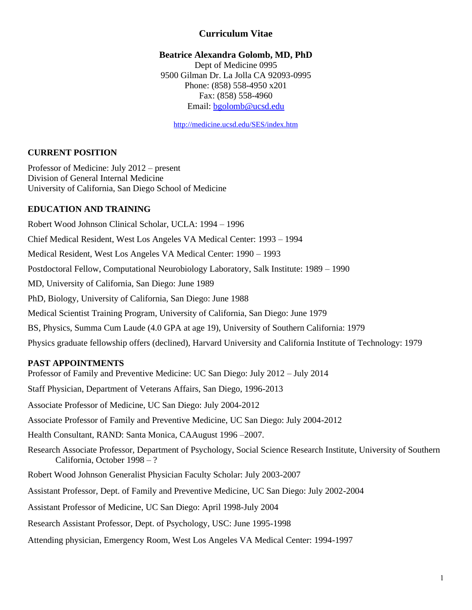# **Curriculum Vitae**

### **Beatrice Alexandra Golomb, MD, PhD**

Dept of Medicine 0995 9500 Gilman Dr. La Jolla CA 92093-0995 Phone: (858) 558-4950 x201 Fax: (858) 558-4960 Email: bgolomb@ucsd.edu

http://medicine.ucsd.edu/SES/index.htm

### **CURRENT POSITION**

Professor of Medicine: July 2012 – present Division of General Internal Medicine University of California, San Diego School of Medicine

### **EDUCATION AND TRAINING**

Robert Wood Johnson Clinical Scholar, UCLA: 1994 – 1996 Chief Medical Resident, West Los Angeles VA Medical Center: 1993 – 1994 Medical Resident, West Los Angeles VA Medical Center: 1990 – 1993 Postdoctoral Fellow, Computational Neurobiology Laboratory, Salk Institute: 1989 – 1990 MD, University of California, San Diego: June 1989 PhD, Biology, University of California, San Diego: June 1988 Medical Scientist Training Program, University of California, San Diego: June 1979 BS, Physics, Summa Cum Laude (4.0 GPA at age 19), University of Southern California: 1979 Physics graduate fellowship offers (declined), Harvard University and California Institute of Technology: 1979

## **PAST APPOINTMENTS**

Professor of Family and Preventive Medicine: UC San Diego: July 2012 – July 2014 Staff Physician, Department of Veterans Affairs, San Diego, 1996-2013 Associate Professor of Medicine, UC San Diego: July 2004-2012 Associate Professor of Family and Preventive Medicine, UC San Diego: July 2004-2012 Health Consultant, RAND: Santa Monica, CAAugust 1996 –2007. Research Associate Professor, Department of Psychology, Social Science Research Institute, University of Southern California, October 1998 – ? Robert Wood Johnson Generalist Physician Faculty Scholar: July 2003-2007 Assistant Professor, Dept. of Family and Preventive Medicine, UC San Diego: July 2002-2004 Assistant Professor of Medicine, UC San Diego: April 1998-July 2004 Research Assistant Professor, Dept. of Psychology, USC: June 1995-1998 Attending physician, Emergency Room, West Los Angeles VA Medical Center: 1994-1997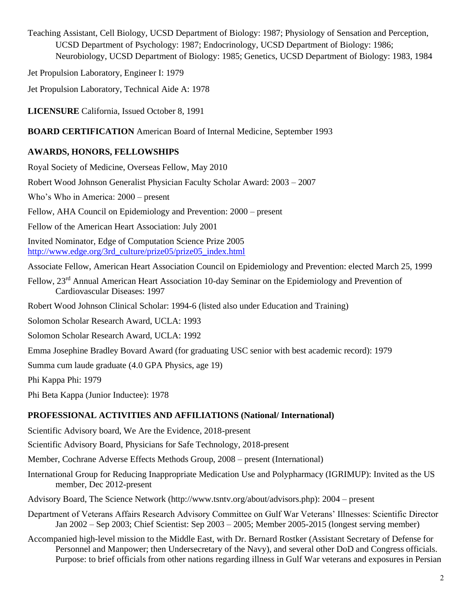Teaching Assistant, Cell Biology, UCSD Department of Biology: 1987; Physiology of Sensation and Perception, UCSD Department of Psychology: 1987; Endocrinology, UCSD Department of Biology: 1986; Neurobiology, UCSD Department of Biology: 1985; Genetics, UCSD Department of Biology: 1983, 1984

Jet Propulsion Laboratory, Engineer I: 1979

Jet Propulsion Laboratory, Technical Aide A: 1978

**LICENSURE** California, Issued October 8, 1991

**BOARD CERTIFICATION** American Board of Internal Medicine, September 1993

## **AWARDS, HONORS, FELLOWSHIPS**

Royal Society of Medicine, Overseas Fellow, May 2010

Robert Wood Johnson Generalist Physician Faculty Scholar Award: 2003 – 2007

Who's Who in America: 2000 – present

Fellow, AHA Council on Epidemiology and Prevention: 2000 – present

Fellow of the American Heart Association: July 2001

Invited Nominator, Edge of Computation Science Prize 2005 [http://www.edge.org/3rd\\_culture/prize05/prize05\\_index.html](http://www.edge.org/3rd_culture/prize05/prize05_index.html)

Associate Fellow, American Heart Association Council on Epidemiology and Prevention: elected March 25, 1999

Fellow, 23<sup>rd</sup> Annual American Heart Association 10-day Seminar on the Epidemiology and Prevention of Cardiovascular Diseases: 1997

Robert Wood Johnson Clinical Scholar: 1994-6 (listed also under Education and Training)

Solomon Scholar Research Award, UCLA: 1993

Solomon Scholar Research Award, UCLA: 1992

Emma Josephine Bradley Bovard Award (for graduating USC senior with best academic record): 1979

Summa cum laude graduate (4.0 GPA Physics, age 19)

Phi Kappa Phi: 1979

Phi Beta Kappa (Junior Inductee): 1978

# **PROFESSIONAL ACTIVITIES AND AFFILIATIONS (National/ International)**

Scientific Advisory board, We Are the Evidence, 2018-present

Scientific Advisory Board, Physicians for Safe Technology, 2018-present

Member, Cochrane Adverse Effects Methods Group, 2008 – present (International)

- International Group for Reducing Inappropriate Medication Use and Polypharmacy (IGRIMUP): Invited as the US member, Dec 2012-present
- Advisory Board, The Science Network (http://www.tsntv.org/about/advisors.php): 2004 present
- Department of Veterans Affairs Research Advisory Committee on Gulf War Veterans' Illnesses: Scientific Director Jan 2002 – Sep 2003; Chief Scientist: Sep 2003 – 2005; Member 2005-2015 (longest serving member)
- Accompanied high-level mission to the Middle East, with Dr. Bernard Rostker (Assistant Secretary of Defense for Personnel and Manpower; then Undersecretary of the Navy), and several other DoD and Congress officials. Purpose: to brief officials from other nations regarding illness in Gulf War veterans and exposures in Persian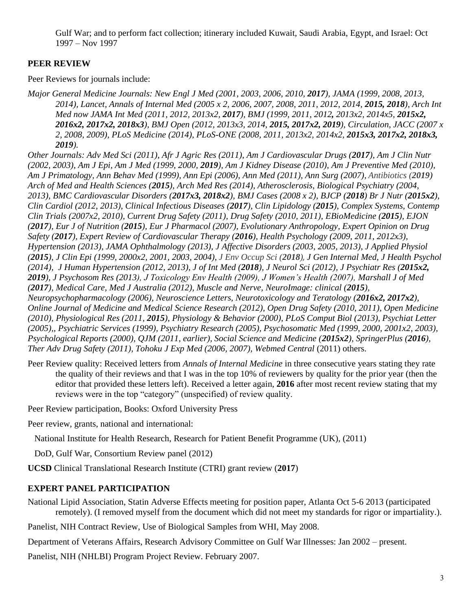Gulf War; and to perform fact collection; itinerary included Kuwait, Saudi Arabia, Egypt, and Israel: Oct 1997 – Nov 1997

## **PEER REVIEW**

Peer Reviews for journals include:

*Major General Medicine Journals: New Engl J Med (2001, 2003, 2006, 2010, 2017), JAMA (1999, 2008, 2013, 2014*), Lancet, Annals of Internal Med (2005 x 2, 2006, 2007, 2008, 2011, 2012, 2014, 2015, 2018), Arch Int *Med now JAMA Int Med (2011, 2012, 2013x2, 2017), BMJ (1999, 2011, 2012, 2013x2, 2014x5, 2015x2, 2016x2, 2017x2, 2018x3), BMJ Open (2012, 2013x3, 2014, 2015, 2017x2, 2019), Circulation, JACC (2007 x 2, 2008, 2009), PLoS Medicine (2014), PLoS-ONE (2008, 2011, 2013x2, 2014x2, 2015x3, 2017x2, 2018x3, 2019).*

*Other Journals: Adv Med Sci (2011), Afr J Agric Res (2011), Am J Cardiovascular Drugs (2017), Am J Clin Nutr (2002, 2003), Am J Epi, Am J Med (1999, 2000, 2019), Am J Kidney Disease (2010), Am J Preventive Med (2010), Am J Primatology, Ann Behav Med (1999), Ann Epi (2006), Ann Med (2011), Ann Surg (2007), Antibiotics (2019) Arch of Med and Health Sciences (2015), Arch Med Res (2014), Atherosclerosis, Biological Psychiatry (2004, 2013), BMC Cardiovascular Disorders (2017x3, 2018x2), BMJ Cases (2008 x 2), BJCP (2018) Br J Nutr (2015x2), Clin Cardiol (2012, 2013), Clinical Infectious Diseases (2017), Clin Lipidology (2015), Complex Systems, Contemp Clin Trials (2007x2, 2010), Current Drug Safety (2011), Drug Safety (2010, 2011), EBioMedicine (2015), EJON (2017), Eur J of Nutrition (2015), Eur J Pharmacol (2007), Evolutionary Anthropology, Expert Opinion on Drug Safety (2017), Expert Review of Cardiovascular Therapy (2016), Health Psychology (2009, 2011, 2012x3), Hypertension (2013), JAMA Ophthalmology (2013), J Affective Disorders (2003, 2005, 2013), J Applied Physiol (2015), J Clin Epi (1999, 2000x2, 2001, 2003, 2004), J Env Occup Sci (2018), J Gen Internal Med, J Health Psychol (2014), J Human Hypertension (2012, 2013), J of Int Med (2018), J Neurol Sci (2012), J Psychiatr Res (2015x2, 2019), J Psychosom Res (2013), J Toxicology Env Health (2009), J Women's Health (2007), Marshall J of Med (2017), Medical Care, Med J Australia (2012), Muscle and Nerve, NeuroImage: clinical (2015), Neuropsychopharmacology (2006), Neuroscience Letters, Neurotoxicology and Teratology (2016x2, 2017x2), Online Journal of Medicine and Medical Science Research (2012), Open Drug Safety (2010, 2011), Open Medicine (2010), Physiological Res (2011, 2015), Physiology & Behavior (2000), PLoS Comput Biol (2013), Psychiat Letter (2005),, Psychiatric Services (1999), Psychiatry Research (2005), Psychosomatic Med (1999, 2000, 2001x2, 2003), Psychological Reports (2000), QJM (2011, earlier), Social Science and Medicine (2015x2), SpringerPlus (2016), Ther Adv Drug Safety (2011), Tohoku J Exp Med (2006, 2007)*, *Webmed Central* (2011) others.

Peer Review quality: Received letters from *Annals of Internal Medicine* in three consecutive years stating they rate the quality of their reviews and that I was in the top 10% of reviewers by quality for the prior year (then the editor that provided these letters left). Received a letter again, **2016** after most recent review stating that my reviews were in the top "category" (unspecified) of review quality.

Peer Review participation, Books: Oxford University Press

Peer review, grants, national and international:

National Institute for Health Research, Research for Patient Benefit Programme (UK), (2011)

DoD, Gulf War, Consortium Review panel (2012)

**UCSD** Clinical Translational Research Institute (CTRI) grant review (**2017**)

## **EXPERT PANEL PARTICIPATION**

National Lipid Association, Statin Adverse Effects meeting for position paper, Atlanta Oct 5-6 2013 (participated remotely). (I removed myself from the document which did not meet my standards for rigor or impartiality.).

Panelist, NIH Contract Review, Use of Biological Samples from WHI, May 2008.

Department of Veterans Affairs, Research Advisory Committee on Gulf War Illnesses: Jan 2002 – present.

Panelist, NIH (NHLBI) Program Project Review. February 2007.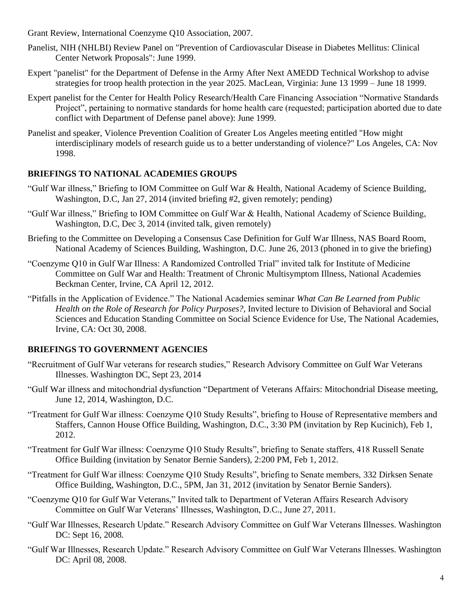Grant Review, International Coenzyme Q10 Association, 2007.

- Panelist, NIH (NHLBI) Review Panel on "Prevention of Cardiovascular Disease in Diabetes Mellitus: Clinical Center Network Proposals": June 1999.
- Expert "panelist" for the Department of Defense in the Army After Next AMEDD Technical Workshop to advise strategies for troop health protection in the year 2025. MacLean, Virginia: June 13 1999 – June 18 1999.
- Expert panelist for the Center for Health Policy Research/Health Care Financing Association "Normative Standards Project", pertaining to normative standards for home health care (requested; participation aborted due to date conflict with Department of Defense panel above): June 1999.
- Panelist and speaker, Violence Prevention Coalition of Greater Los Angeles meeting entitled "How might interdisciplinary models of research guide us to a better understanding of violence?" Los Angeles, CA: Nov 1998.

## **BRIEFINGS TO NATIONAL ACADEMIES GROUPS**

- "Gulf War illness," Briefing to IOM Committee on Gulf War & Health, National Academy of Science Building, Washington, D.C, Jan 27, 2014 (invited briefing #2, given remotely; pending)
- "Gulf War illness," Briefing to IOM Committee on Gulf War & Health, National Academy of Science Building, Washington, D.C, Dec 3, 2014 (invited talk, given remotely)
- Briefing to the Committee on Developing a Consensus Case Definition for Gulf War Illness, NAS Board Room, National Academy of Sciences Building, Washington, D.C. June 26, 2013 (phoned in to give the briefing)
- "Coenzyme Q10 in Gulf War Illness: A Randomized Controlled Trial" invited talk for Institute of Medicine Committee on Gulf War and Health: Treatment of Chronic Multisymptom Illness, National Academies Beckman Center, Irvine, CA April 12, 2012.
- "Pitfalls in the Application of Evidence." The National Academies seminar *What Can Be Learned from Public Health on the Role of Research for Policy Purposes?,* Invited lecture to Division of Behavioral and Social Sciences and Education Standing Committee on Social Science Evidence for Use, The National Academies, Irvine, CA: Oct 30, 2008.

## **BRIEFINGS TO GOVERNMENT AGENCIES**

- "Recruitment of Gulf War veterans for research studies," Research Advisory Committee on Gulf War Veterans Illnesses. Washington DC, Sept 23, 2014
- "Gulf War illness and mitochondrial dysfunction "Department of Veterans Affairs: Mitochondrial Disease meeting, June 12, 2014, Washington, D.C.
- "Treatment for Gulf War illness: Coenzyme Q10 Study Results", briefing to House of Representative members and Staffers, Cannon House Office Building, Washington, D.C., 3:30 PM (invitation by Rep Kucinich), Feb 1, 2012.
- "Treatment for Gulf War illness: Coenzyme Q10 Study Results", briefing to Senate staffers, 418 Russell Senate Office Building (invitation by Senator Bernie Sanders), 2:200 PM, Feb 1, 2012.
- "Treatment for Gulf War illness: Coenzyme Q10 Study Results", briefing to Senate members, 332 Dirksen Senate Office Building, Washington, D.C., 5PM, Jan 31, 2012 (invitation by Senator Bernie Sanders).
- "Coenzyme Q10 for Gulf War Veterans," Invited talk to Department of Veteran Affairs Research Advisory Committee on Gulf War Veterans' Illnesses, Washington, D.C., June 27, 2011.
- "Gulf War Illnesses, Research Update." Research Advisory Committee on Gulf War Veterans Illnesses. Washington DC: Sept 16, 2008.
- "Gulf War Illnesses, Research Update." Research Advisory Committee on Gulf War Veterans Illnesses. Washington DC: April 08, 2008.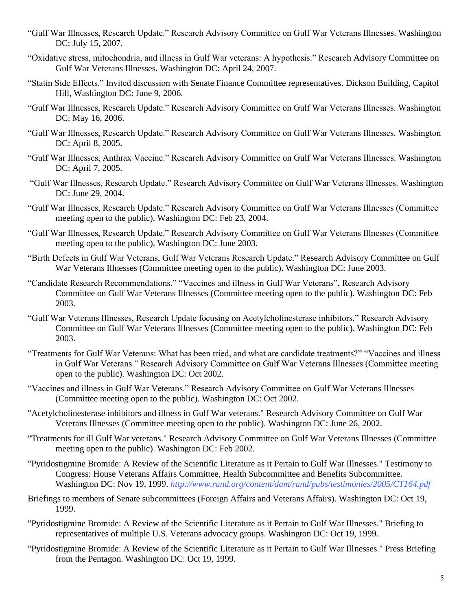- "Gulf War Illnesses, Research Update." Research Advisory Committee on Gulf War Veterans Illnesses. Washington DC: July 15, 2007.
- "Oxidative stress, mitochondria, and illness in Gulf War veterans: A hypothesis." Research Advisory Committee on Gulf War Veterans Illnesses. Washington DC: April 24, 2007.
- "Statin Side Effects." Invited discussion with Senate Finance Committee representatives. Dickson Building, Capitol Hill, Washington DC: June 9, 2006.
- "Gulf War Illnesses, Research Update." Research Advisory Committee on Gulf War Veterans Illnesses. Washington DC: May 16, 2006.
- "Gulf War Illnesses, Research Update." Research Advisory Committee on Gulf War Veterans Illnesses. Washington DC: April 8, 2005.
- "Gulf War Illnesses, Anthrax Vaccine." Research Advisory Committee on Gulf War Veterans Illnesses. Washington DC: April 7, 2005.
- "Gulf War Illnesses, Research Update." Research Advisory Committee on Gulf War Veterans Illnesses. Washington DC: June 29, 2004.
- "Gulf War Illnesses, Research Update." Research Advisory Committee on Gulf War Veterans Illnesses (Committee meeting open to the public). Washington DC: Feb 23, 2004.
- "Gulf War Illnesses, Research Update." Research Advisory Committee on Gulf War Veterans Illnesses (Committee meeting open to the public). Washington DC: June 2003.
- "Birth Defects in Gulf War Veterans, Gulf War Veterans Research Update." Research Advisory Committee on Gulf War Veterans Illnesses (Committee meeting open to the public). Washington DC: June 2003.
- "Candidate Research Recommendations," "Vaccines and illness in Gulf War Veterans", Research Advisory Committee on Gulf War Veterans Illnesses (Committee meeting open to the public). Washington DC: Feb 2003.
- "Gulf War Veterans Illnesses, Research Update focusing on Acetylcholinesterase inhibitors." Research Advisory Committee on Gulf War Veterans Illnesses (Committee meeting open to the public). Washington DC: Feb 2003.
- "Treatments for Gulf War Veterans: What has been tried, and what are candidate treatments?" "Vaccines and illness in Gulf War Veterans." Research Advisory Committee on Gulf War Veterans Illnesses (Committee meeting open to the public). Washington DC: Oct 2002.
- "Vaccines and illness in Gulf War Veterans." Research Advisory Committee on Gulf War Veterans Illnesses (Committee meeting open to the public). Washington DC: Oct 2002.
- "Acetylcholinesterase inhibitors and illness in Gulf War veterans." Research Advisory Committee on Gulf War Veterans Illnesses (Committee meeting open to the public). Washington DC: June 26, 2002.
- "Treatments for ill Gulf War veterans." Research Advisory Committee on Gulf War Veterans Illnesses (Committee meeting open to the public). Washington DC: Feb 2002.
- "Pyridostigmine Bromide: A Review of the Scientific Literature as it Pertain to Gulf War Illnesses." Testimony to Congress: House Veterans Affairs Committee, Health Subcommittee and Benefits Subcommittee. Washington DC: Nov 19, 1999. *http://www.rand.org/content/dam/rand/pubs/testimonies/2005/CT164.pdf*
- Briefings to members of Senate subcommittees (Foreign Affairs and Veterans Affairs). Washington DC: Oct 19, 1999.
- "Pyridostigmine Bromide: A Review of the Scientific Literature as it Pertain to Gulf War Illnesses." Briefing to representatives of multiple U.S. Veterans advocacy groups. Washington DC: Oct 19, 1999.
- "Pyridostigmine Bromide: A Review of the Scientific Literature as it Pertain to Gulf War Illnesses." Press Briefing from the Pentagon. Washington DC: Oct 19, 1999.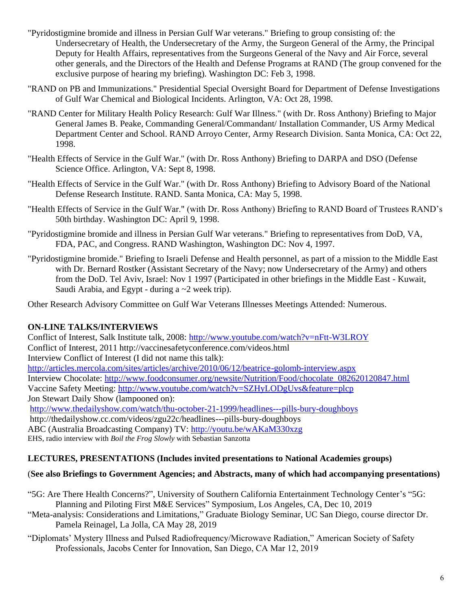- "Pyridostigmine bromide and illness in Persian Gulf War veterans." Briefing to group consisting of: the Undersecretary of Health, the Undersecretary of the Army, the Surgeon General of the Army, the Principal Deputy for Health Affairs, representatives from the Surgeons General of the Navy and Air Force, several other generals, and the Directors of the Health and Defense Programs at RAND (The group convened for the exclusive purpose of hearing my briefing). Washington DC: Feb 3, 1998.
- "RAND on PB and Immunizations." Presidential Special Oversight Board for Department of Defense Investigations of Gulf War Chemical and Biological Incidents. Arlington, VA: Oct 28, 1998.
- "RAND Center for Military Health Policy Research: Gulf War Illness." (with Dr. Ross Anthony) Briefing to Major General James B. Peake, Commanding General/Commandant/ Installation Commander, US Army Medical Department Center and School. RAND Arroyo Center, Army Research Division. Santa Monica, CA: Oct 22, 1998.
- "Health Effects of Service in the Gulf War." (with Dr. Ross Anthony) Briefing to DARPA and DSO (Defense Science Office. Arlington, VA: Sept 8, 1998.
- "Health Effects of Service in the Gulf War." (with Dr. Ross Anthony) Briefing to Advisory Board of the National Defense Research Institute. RAND. Santa Monica, CA: May 5, 1998.
- "Health Effects of Service in the Gulf War." (with Dr. Ross Anthony) Briefing to RAND Board of Trustees RAND's 50th birthday. Washington DC: April 9, 1998.
- "Pyridostigmine bromide and illness in Persian Gulf War veterans." Briefing to representatives from DoD, VA, FDA, PAC, and Congress. RAND Washington, Washington DC: Nov 4, 1997.
- "Pyridostigmine bromide." Briefing to Israeli Defense and Health personnel, as part of a mission to the Middle East with Dr. Bernard Rostker (Assistant Secretary of the Navy; now Undersecretary of the Army) and others from the DoD. Tel Aviv, Israel: Nov 1 1997 (Participated in other briefings in the Middle East - Kuwait, Saudi Arabia, and Egypt - during a  $\sim$  2 week trip).

Other Research Advisory Committee on Gulf War Veterans Illnesses Meetings Attended: Numerous.

### **ON-LINE TALKS/INTERVIEWS**

Conflict of Interest, Salk Institute talk, 2008:<http://www.youtube.com/watch?v=nFtt-W3LROY> Conflict of Interest, 2011 http://vaccinesafetyconference.com/videos.html Interview Conflict of Interest (I did not name this talk): <http://articles.mercola.com/sites/articles/archive/2010/06/12/beatrice-golomb-interview.aspx> Interview Chocolate: [http://www.foodconsumer.org/newsite/Nutrition/Food/chocolate\\_082620120847.html](http://www.foodconsumer.org/newsite/Nutrition/Food/chocolate_082620120847.html) Vaccine Safety Meeting:<http://www.youtube.com/watch?v=SZHyLODgUvs&feature=plcp> Jon Stewart Daily Show (lampooned on): <http://www.thedailyshow.com/watch/thu-october-21-1999/headlines---pills-bury-doughboys> http://thedailyshow.cc.com/videos/zgu22c/headlines---pills-bury-doughboys ABC (Australia Broadcasting Company) TV:<http://youtu.be/wAKaM330xzg> EHS, radio interview with *Boil the Frog Slowly* with Sebastian Sanzotta

### **LECTURES, PRESENTATIONS (Includes invited presentations to National Academies groups)**

### (**See also Briefings to Government Agencies; and Abstracts, many of which had accompanying presentations)**

- "5G: Are There Health Concerns?", University of Southern California Entertainment Technology Center's "5G: Planning and Piloting First M&E Services" Symposium, Los Angeles, CA, Dec 10, 2019
- "Meta-analysis: Considerations and Limitations," Graduate Biology Seminar, UC San Diego, course director Dr. Pamela Reinagel, La Jolla, CA May 28, 2019
- "Diplomats' Mystery Illness and Pulsed Radiofrequency/Microwave Radiation," American Society of Safety Professionals, Jacobs Center for Innovation, San Diego, CA Mar 12, 2019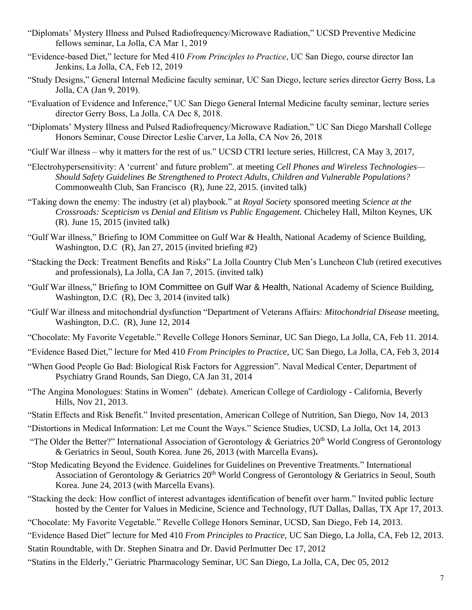- "Diplomats' Mystery Illness and Pulsed Radiofrequency/Microwave Radiation," UCSD Preventive Medicine fellows seminar, La Jolla, CA Mar 1, 2019
- "Evidence-based Diet," lecture for Med 410 *From Principles to Practice*, UC San Diego, course director Ian Jenkins, La Jolla, CA, Feb 12, 2019
- "Study Designs," General Internal Medicine faculty seminar, UC San Diego, lecture series director Gerry Boss, La Jolla, CA (Jan 9, 2019).
- "Evaluation of Evidence and Inference," UC San Diego General Internal Medicine faculty seminar, lecture series director Gerry Boss, La Jolla, CA Dec 8, 2018.
- "Diplomats' Mystery Illness and Pulsed Radiofrequency/Microwave Radiation," UC San Diego Marshall College Honors Seminar, Couse Director Leslie Carver, La Jolla, CA Nov 26, 2018
- "Gulf War illness why it matters for the rest of us." UCSD CTRI lecture series, Hillcrest, CA May 3, 2017,
- "Electrohypersensitivity: A 'current' and future problem". at meeting *Cell Phones and Wireless Technologies— Should Safety Guidelines Be Strengthened to Protect Adults, Children and Vulnerable Populations?* Commonwealth Club, San Francisco (R), June 22, 2015. (invited talk)
- "Taking down the enemy: The industry (et al) playbook." at *Royal Society* sponsored meeting *Science at the Crossroads: Scepticism vs Denial and Elitism vs Public Engagement.* Chicheley Hall, Milton Keynes, UK (R). June 15, 2015 (invited talk)
- "Gulf War illness," Briefing to IOM Committee on Gulf War & Health, National Academy of Science Building, Washington, D.C (R), Jan 27, 2015 (invited briefing #2)
- "Stacking the Deck: Treatment Benefits and Risks" La Jolla Country Club Men's Luncheon Club (retired executives and professionals), La Jolla, CA Jan 7, 2015. (invited talk)
- "Gulf War illness," Briefing to IOM Committee on Gulf War & Health, National Academy of Science Building, Washington, D.C (R), Dec 3, 2014 (invited talk)
- "Gulf War illness and mitochondrial dysfunction "Department of Veterans Affairs: *Mitochondrial Disease* meeting, Washington, D.C. (R), June 12, 2014
- "Chocolate: My Favorite Vegetable." Revelle College Honors Seminar, UC San Diego, La Jolla, CA, Feb 11. 2014.
- "Evidence Based Diet," lecture for Med 410 *From Principles to Practice*, UC San Diego, La Jolla, CA, Feb 3, 2014
- "When Good People Go Bad: Biological Risk Factors for Aggression". Naval Medical Center, Department of Psychiatry Grand Rounds, San Diego, CA Jan 31, 2014
- "The Angina Monologues: Statins in Women" (debate). American College of Cardiology California, Beverly Hills, Nov 21, 2013.
- "Statin Effects and Risk Benefit." Invited presentation, American College of Nutrition, San Diego, Nov 14, 2013
- "Distortions in Medical Information: Let me Count the Ways." Science Studies, UCSD, La Jolla, Oct 14, 2013
- "The Older the Better?" International Association of Gerontology & Geriatrics  $20<sup>th</sup>$  World Congress of Gerontology & Geriatrics in Seoul, South Korea. June 26, 2013 (with Marcella Evans)**.**
- "Stop Medicating Beyond the Evidence. Guidelines for Guidelines on Preventive Treatments." International Association of Gerontology & Geriatrics  $20<sup>th</sup>$  World Congress of Gerontology & Geriatrics in Seoul, South Korea. June 24, 2013 (with Marcella Evans).
- "Stacking the deck: How conflict of interest advantages identification of benefit over harm." Invited public lecture hosted by the Center for Values in Medicine, Science and Technology, fUT Dallas, Dallas, TX Apr 17, 2013.
- "Chocolate: My Favorite Vegetable." Revelle College Honors Seminar, UCSD, San Diego, Feb 14, 2013.
- "Evidence Based Diet" lecture for Med 410 *From Principles to Practice*, UC San Diego, La Jolla, CA, Feb 12, 2013.
- Statin Roundtable, with Dr. Stephen Sinatra and Dr. David Perlmutter Dec 17, 2012
- "Statins in the Elderly," Geriatric Pharmacology Seminar, UC San Diego, La Jolla, CA, Dec 05, 2012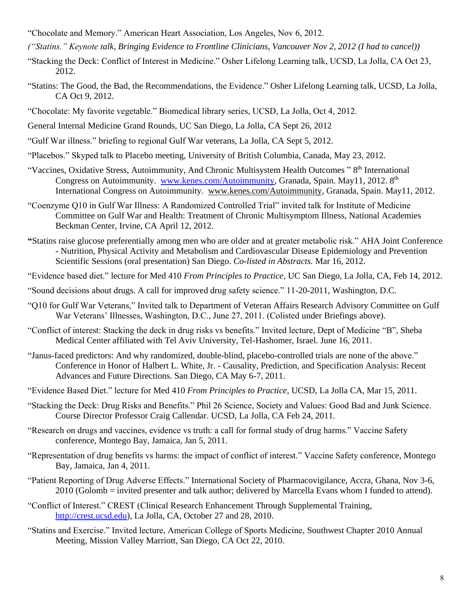- "Chocolate and Memory." American Heart Association, Los Angeles, Nov 6, 2012.
- *("Statins." Keynote talk, Bringing Evidence to Frontline Clinicians, Vancouver Nov 2, 2012 (I had to cancel))*
- "Stacking the Deck: Conflict of Interest in Medicine." Osher Lifelong Learning talk, UCSD, La Jolla, CA Oct 23, 2012.
- "Statins: The Good, the Bad, the Recommendations, the Evidence." Osher Lifelong Learning talk, UCSD, La Jolla, CA Oct 9, 2012.
- "Chocolate: My favorite vegetable." Biomedical library series, UCSD, La Jolla, Oct 4, 2012.
- General Internal Medicine Grand Rounds, UC San Diego, La Jolla, CA Sept 26, 2012
- "Gulf War illness." briefing to regional Gulf War veterans, La Jolla, CA Sept 5, 2012.
- "Placebos." Skyped talk to Placebo meeting, University of British Columbia, Canada, May 23, 2012.
- "Vaccines, Oxidative Stress, Autoimmunity, And Chronic Multisystem Health Outcomes "8<sup>th</sup> International Congress on Autoimmunity. [www.kenes.com/Autoimmunity,](http://www.kenes.com/Autoimmunity) Granada, Spain. May11, 2012. 8<sup>th</sup> International Congress on Autoimmunity. [www.kenes.com/Autoimmunity,](http://www.kenes.com/Autoimmunity) Granada, Spain. May11, 2012.
- "Coenzyme Q10 in Gulf War Illness: A Randomized Controlled Trial" invited talk for Institute of Medicine Committee on Gulf War and Health: Treatment of Chronic Multisymptom Illness, National Academies Beckman Center, Irvine, CA April 12, 2012.
- **"**Statins raise glucose preferentially among men who are older and at greater metabolic risk." AHA Joint Conference - Nutrition, Physical Activity and Metabolism and Cardiovascular Disease Epidemiology and Prevention Scientific Sessions (oral presentation) San Diego. *Co-listed in Abstracts.* Mar 16, 2012.
- "Evidence based diet." lecture for Med 410 *From Principles to Practice*, UC San Diego, La Jolla, CA, Feb 14, 2012.
- "Sound decisions about drugs. A call for improved drug safety science." 11-20-2011, Washington, D.C.
- "Q10 for Gulf War Veterans," Invited talk to Department of Veteran Affairs Research Advisory Committee on Gulf War Veterans' Illnesses, Washington, D.C., June 27, 2011. (Colisted under Briefings above).
- "Conflict of interest: Stacking the deck in drug risks vs benefits." Invited lecture, Dept of Medicine "B", Sheba Medical Center affiliated with Tel Aviv University, Tel-Hashomer, Israel. June 16, 2011.
- "Janus-faced predictors: And why randomized, double-blind, placebo-controlled trials are none of the above." Conference in Honor of Halbert L. White, Jr. - Causality, Prediction, and Specification Analysis: Recent Advances and Future Directions. San Diego, CA May 6-7, 2011.
- "Evidence Based Diet." lecture for Med 410 *From Principles to Practice*, UCSD, La Jolla CA, Mar 15, 2011.
- "Stacking the Deck: Drug Risks and Benefits." Phil 26 Science, Society and Values: Good Bad and Junk Science. Course Director Professor Craig Callendar. UCSD, La Jolla, CA Feb 24, 2011.
- "Research on drugs and vaccines, evidence vs truth: a call for formal study of drug harms." Vaccine Safety conference, Montego Bay, Jamaica, Jan 5, 2011.
- "Representation of drug benefits vs harms: the impact of conflict of interest." Vaccine Safety conference, Montego Bay, Jamaica, Jan 4, 2011.
- "Patient Reporting of Drug Adverse Effects." International Society of Pharmacovigilance, Accra, Ghana, Nov 3-6, 2010 (Golomb = invited presenter and talk author; delivered by Marcella Evans whom I funded to attend).
- "Conflict of Interest." CREST (Clinical Research Enhancement Through Supplemental Training, http://crest.ucsd.edu), La Jolla, CA, October 27 and 28, 2010.
- "Statins and Exercise." Invited lecture, American College of Sports Medicine, Southwest Chapter 2010 Annual Meeting, Mission Valley Marriott, San Diego, CA Oct 22, 2010.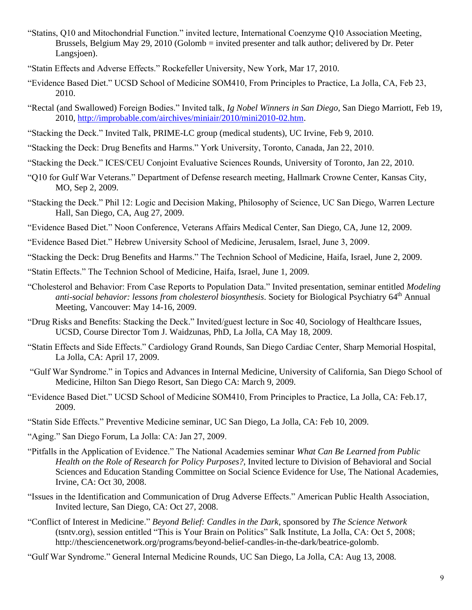- "Statins, Q10 and Mitochondrial Function." invited lecture, International Coenzyme Q10 Association Meeting, Brussels, Belgium May 29, 2010 (Golomb = invited presenter and talk author; delivered by Dr. Peter Langsjoen).
- "Statin Effects and Adverse Effects." Rockefeller University, New York, Mar 17, 2010.
- "Evidence Based Diet." UCSD School of Medicine SOM410, From Principles to Practice, La Jolla, CA, Feb 23, 2010.
- "Rectal (and Swallowed) Foreign Bodies." Invited talk, *Ig Nobel Winners in San Diego*, San Diego Marriott, Feb 19, 2010, [http://improbable.com/airchives/miniair/2010/mini2010-02.htm.](http://improbable.com/airchives/miniair/2010/mini2010-02.htm)
- "Stacking the Deck." Invited Talk, PRIME-LC group (medical students), UC Irvine, Feb 9, 2010.
- "Stacking the Deck: Drug Benefits and Harms." York University, Toronto, Canada, Jan 22, 2010.
- "Stacking the Deck." ICES/CEU Conjoint Evaluative Sciences Rounds, University of Toronto, Jan 22, 2010.
- "Q10 for Gulf War Veterans." Department of Defense research meeting, Hallmark Crowne Center, Kansas City, MO, Sep 2, 2009.
- "Stacking the Deck." Phil 12: Logic and Decision Making, Philosophy of Science, UC San Diego, Warren Lecture Hall, San Diego, CA, Aug 27, 2009.
- "Evidence Based Diet." Noon Conference, Veterans Affairs Medical Center, San Diego, CA, June 12, 2009.
- "Evidence Based Diet." Hebrew University School of Medicine, Jerusalem, Israel, June 3, 2009.
- "Stacking the Deck: Drug Benefits and Harms." The Technion School of Medicine, Haifa, Israel, June 2, 2009.
- "Statin Effects." The Technion School of Medicine, Haifa, Israel, June 1, 2009.
- "Cholesterol and Behavior: From Case Reports to Population Data." Invited presentation, seminar entitled *Modeling anti-social behavior: lessons from cholesterol biosynthesis*. Society for Biological Psychiatry 64th Annual Meeting, Vancouver: May 14-16, 2009.
- "Drug Risks and Benefits: Stacking the Deck." Invited/guest lecture in Soc 40, Sociology of Healthcare Issues, UCSD, Course Director Tom J. Waidzunas, PhD, La Jolla, CA May 18, 2009.
- "Statin Effects and Side Effects." Cardiology Grand Rounds, San Diego Cardiac Center, Sharp Memorial Hospital, La Jolla, CA: April 17, 2009.
- "Gulf War Syndrome." in Topics and Advances in Internal Medicine, University of California, San Diego School of Medicine, Hilton San Diego Resort, San Diego CA: March 9, 2009.
- "Evidence Based Diet." UCSD School of Medicine SOM410, From Principles to Practice, La Jolla, CA: Feb.17, 2009.
- "Statin Side Effects." Preventive Medicine seminar, UC San Diego, La Jolla, CA: Feb 10, 2009.
- "Aging." San Diego Forum, La Jolla: CA: Jan 27, 2009.
- "Pitfalls in the Application of Evidence." The National Academies seminar *What Can Be Learned from Public Health on the Role of Research for Policy Purposes?,* Invited lecture to Division of Behavioral and Social Sciences and Education Standing Committee on Social Science Evidence for Use, The National Academies, Irvine, CA: Oct 30, 2008.
- "Issues in the Identification and Communication of Drug Adverse Effects." American Public Health Association, Invited lecture, San Diego, CA: Oct 27, 2008.
- "Conflict of Interest in Medicine." *Beyond Belief: Candles in the Dark*, sponsored by *The Science Network*  (tsntv.org), session entitled "This is Your Brain on Politics" Salk Institute, La Jolla, CA: Oct 5, 2008; http://thesciencenetwork.org/programs/beyond-belief-candles-in-the-dark/beatrice-golomb.
- "Gulf War Syndrome." General Internal Medicine Rounds, UC San Diego, La Jolla, CA: Aug 13, 2008.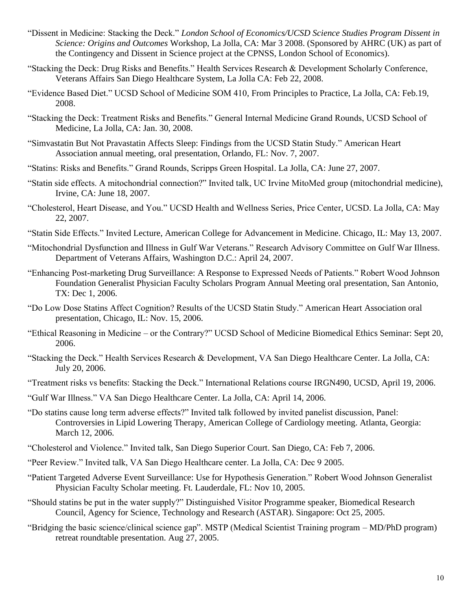- "Dissent in Medicine: Stacking the Deck." *London School of Economics/UCSD Science Studies Program Dissent in Science: Origins and Outcomes* Workshop, La Jolla, CA: Mar 3 2008. (Sponsored by AHRC (UK) as part of the Contingency and Dissent in Science project at the CPNSS, London School of Economics).
- "Stacking the Deck: Drug Risks and Benefits." Health Services Research & Development Scholarly Conference, Veterans Affairs San Diego Healthcare System, La Jolla CA: Feb 22, 2008.
- "Evidence Based Diet." UCSD School of Medicine SOM 410, From Principles to Practice, La Jolla, CA: Feb.19, 2008.
- "Stacking the Deck: Treatment Risks and Benefits." General Internal Medicine Grand Rounds, UCSD School of Medicine, La Jolla, CA: Jan. 30, 2008.
- "Simvastatin But Not Pravastatin Affects Sleep: Findings from the UCSD Statin Study." American Heart Association annual meeting, oral presentation, Orlando, FL: Nov. 7, 2007.
- "Statins: Risks and Benefits." Grand Rounds, Scripps Green Hospital. La Jolla, CA: June 27, 2007.
- "Statin side effects. A mitochondrial connection?" Invited talk, UC Irvine MitoMed group (mitochondrial medicine), Irvine, CA: June 18, 2007.
- "Cholesterol, Heart Disease, and You." UCSD Health and Wellness Series, Price Center, UCSD. La Jolla, CA: May 22, 2007.
- "Statin Side Effects." Invited Lecture, American College for Advancement in Medicine. Chicago, IL: May 13, 2007.
- "Mitochondrial Dysfunction and Illness in Gulf War Veterans." Research Advisory Committee on Gulf War Illness. Department of Veterans Affairs, Washington D.C.: April 24, 2007.
- "Enhancing Post-marketing Drug Surveillance: A Response to Expressed Needs of Patients." Robert Wood Johnson Foundation Generalist Physician Faculty Scholars Program Annual Meeting oral presentation, San Antonio, TX: Dec 1, 2006.
- "Do Low Dose Statins Affect Cognition? Results of the UCSD Statin Study." American Heart Association oral presentation, Chicago, IL: Nov. 15, 2006.
- "Ethical Reasoning in Medicine or the Contrary?" UCSD School of Medicine Biomedical Ethics Seminar: Sept 20, 2006.
- "Stacking the Deck." Health Services Research & Development, VA San Diego Healthcare Center. La Jolla, CA: July 20, 2006.
- "Treatment risks vs benefits: Stacking the Deck." International Relations course IRGN490, UCSD, April 19, 2006.
- "Gulf War Illness." VA San Diego Healthcare Center. La Jolla, CA: April 14, 2006.
- "Do statins cause long term adverse effects?" Invited talk followed by invited panelist discussion, Panel: Controversies in Lipid Lowering Therapy, American College of Cardiology meeting. Atlanta, Georgia: March 12, 2006.
- "Cholesterol and Violence." Invited talk, San Diego Superior Court. San Diego, CA: Feb 7, 2006.
- "Peer Review." Invited talk, VA San Diego Healthcare center. La Jolla, CA: Dec 9 2005.
- "Patient Targeted Adverse Event Surveillance: Use for Hypothesis Generation." Robert Wood Johnson Generalist Physician Faculty Scholar meeting. Ft. Lauderdale, FL: Nov 10, 2005.
- "Should statins be put in the water supply?" Distinguished Visitor Programme speaker, Biomedical Research Council, Agency for Science, Technology and Research (ASTAR). Singapore: Oct 25, 2005.
- "Bridging the basic science/clinical science gap". MSTP (Medical Scientist Training program MD/PhD program) retreat roundtable presentation. Aug 27, 2005.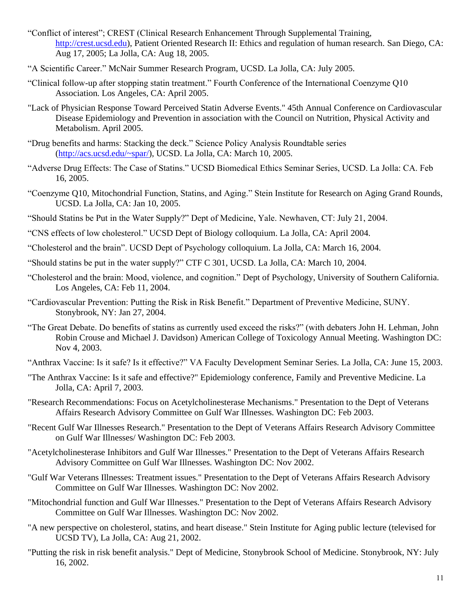- "Conflict of interest"; CREST (Clinical Research Enhancement Through Supplemental Training, http://crest.ucsd.edu), Patient Oriented Research II: Ethics and regulation of human research. San Diego, CA: Aug 17, 2005; La Jolla, CA: Aug 18, 2005.
- "A Scientific Career." McNair Summer Research Program, UCSD. La Jolla, CA: July 2005.
- "Clinical follow-up after stopping statin treatment." Fourth Conference of the International Coenzyme Q10 Association. Los Angeles, CA: April 2005.
- "Lack of Physician Response Toward Perceived Statin Adverse Events." 45th Annual Conference on Cardiovascular Disease Epidemiology and Prevention in association with the Council on Nutrition, Physical Activity and Metabolism. April 2005.
- "Drug benefits and harms: Stacking the deck." Science Policy Analysis Roundtable series (http://acs.ucsd.edu/~spar/), UCSD. La Jolla, CA: March 10, 2005.
- "Adverse Drug Effects: The Case of Statins." UCSD Biomedical Ethics Seminar Series, UCSD. La Jolla: CA. Feb 16, 2005.
- "Coenzyme Q10, Mitochondrial Function, Statins, and Aging." Stein Institute for Research on Aging Grand Rounds, UCSD. La Jolla, CA: Jan 10, 2005.
- "Should Statins be Put in the Water Supply?" Dept of Medicine, Yale. Newhaven, CT: July 21, 2004.
- "CNS effects of low cholesterol." UCSD Dept of Biology colloquium. La Jolla, CA: April 2004.
- "Cholesterol and the brain". UCSD Dept of Psychology colloquium. La Jolla, CA: March 16, 2004.
- "Should statins be put in the water supply?" CTF C 301, UCSD. La Jolla, CA: March 10, 2004.
- "Cholesterol and the brain: Mood, violence, and cognition." Dept of Psychology, University of Southern California. Los Angeles, CA: Feb 11, 2004.
- "Cardiovascular Prevention: Putting the Risk in Risk Benefit." Department of Preventive Medicine, SUNY. Stonybrook, NY: Jan 27, 2004.
- "The Great Debate. Do benefits of statins as currently used exceed the risks?" (with debaters John H. Lehman, John Robin Crouse and Michael J. Davidson) American College of Toxicology Annual Meeting. Washington DC: Nov 4, 2003.
- "Anthrax Vaccine: Is it safe? Is it effective?" VA Faculty Development Seminar Series. La Jolla, CA: June 15, 2003.
- "The Anthrax Vaccine: Is it safe and effective?" Epidemiology conference, Family and Preventive Medicine. La Jolla, CA: April 7, 2003.
- "Research Recommendations: Focus on Acetylcholinesterase Mechanisms." Presentation to the Dept of Veterans Affairs Research Advisory Committee on Gulf War Illnesses. Washington DC: Feb 2003.
- "Recent Gulf War Illnesses Research." Presentation to the Dept of Veterans Affairs Research Advisory Committee on Gulf War Illnesses/ Washington DC: Feb 2003.
- "Acetylcholinesterase Inhibitors and Gulf War Illnesses." Presentation to the Dept of Veterans Affairs Research Advisory Committee on Gulf War Illnesses. Washington DC: Nov 2002.
- "Gulf War Veterans Illnesses: Treatment issues." Presentation to the Dept of Veterans Affairs Research Advisory Committee on Gulf War Illnesses. Washington DC: Nov 2002.
- "Mitochondrial function and Gulf War Illnesses." Presentation to the Dept of Veterans Affairs Research Advisory Committee on Gulf War Illnesses. Washington DC: Nov 2002.
- "A new perspective on cholesterol, statins, and heart disease." Stein Institute for Aging public lecture (televised for UCSD TV), La Jolla, CA: Aug 21, 2002.
- "Putting the risk in risk benefit analysis." Dept of Medicine, Stonybrook School of Medicine. Stonybrook, NY: July 16, 2002.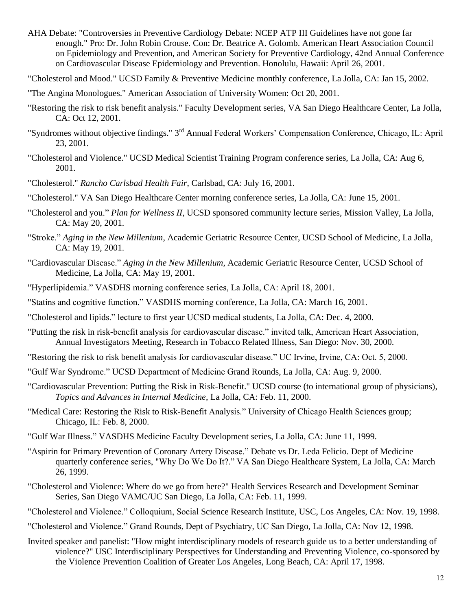- AHA Debate: "Controversies in Preventive Cardiology Debate: NCEP ATP III Guidelines have not gone far enough." Pro: Dr. John Robin Crouse. Con: Dr. Beatrice A. Golomb. American Heart Association Council on Epidemiology and Prevention, and American Society for Preventive Cardiology, 42nd Annual Conference on Cardiovascular Disease Epidemiology and Prevention. Honolulu, Hawaii: April 26, 2001.
- "Cholesterol and Mood." UCSD Family & Preventive Medicine monthly conference, La Jolla, CA: Jan 15, 2002.
- "The Angina Monologues." American Association of University Women: Oct 20, 2001.
- "Restoring the risk to risk benefit analysis." Faculty Development series, VA San Diego Healthcare Center, La Jolla, CA: Oct 12, 2001.
- "Syndromes without objective findings." 3<sup>rd</sup> Annual Federal Workers' Compensation Conference, Chicago, IL: April 23, 2001.
- "Cholesterol and Violence." UCSD Medical Scientist Training Program conference series, La Jolla, CA: Aug 6, 2001.
- "Cholesterol." *Rancho Carlsbad Health Fair*, Carlsbad, CA: July 16, 2001.
- "Cholesterol." VA San Diego Healthcare Center morning conference series, La Jolla, CA: June 15, 2001.
- "Cholesterol and you." *Plan for Wellness II*, UCSD sponsored community lecture series, Mission Valley, La Jolla, CA: May 20, 2001.
- "Stroke." *Aging in the New Millenium*, Academic Geriatric Resource Center, UCSD School of Medicine, La Jolla, CA: May 19, 2001.
- "Cardiovascular Disease." *Aging in the New Millenium*, Academic Geriatric Resource Center, UCSD School of Medicine, La Jolla, CA: May 19, 2001.
- "Hyperlipidemia." VASDHS morning conference series, La Jolla, CA: April 18, 2001.
- "Statins and cognitive function." VASDHS morning conference, La Jolla, CA: March 16, 2001.
- "Cholesterol and lipids." lecture to first year UCSD medical students, La Jolla, CA: Dec. 4, 2000.
- "Putting the risk in risk-benefit analysis for cardiovascular disease." invited talk, American Heart Association, Annual Investigators Meeting, Research in Tobacco Related Illness, San Diego: Nov. 30, 2000.
- "Restoring the risk to risk benefit analysis for cardiovascular disease." UC Irvine, Irvine, CA: Oct. 5, 2000.
- "Gulf War Syndrome." UCSD Department of Medicine Grand Rounds, La Jolla, CA: Aug. 9, 2000.
- "Cardiovascular Prevention: Putting the Risk in Risk-Benefit." UCSD course (to international group of physicians), *Topics and Advances in Internal Medicine*, La Jolla, CA: Feb. 11, 2000.
- "Medical Care: Restoring the Risk to Risk-Benefit Analysis." University of Chicago Health Sciences group; Chicago, IL: Feb. 8, 2000.
- "Gulf War Illness." VASDHS Medicine Faculty Development series, La Jolla, CA: June 11, 1999.
- "Aspirin for Primary Prevention of Coronary Artery Disease." Debate vs Dr. Leda Felicio. Dept of Medicine quarterly conference series, "Why Do We Do It?." VA San Diego Healthcare System, La Jolla, CA: March 26, 1999.
- "Cholesterol and Violence: Where do we go from here?" Health Services Research and Development Seminar Series, San Diego VAMC/UC San Diego, La Jolla, CA: Feb. 11, 1999.
- "Cholesterol and Violence." Colloquium, Social Science Research Institute, USC, Los Angeles, CA: Nov. 19, 1998.
- "Cholesterol and Violence." Grand Rounds, Dept of Psychiatry, UC San Diego, La Jolla, CA: Nov 12, 1998.
- Invited speaker and panelist: "How might interdisciplinary models of research guide us to a better understanding of violence?" USC Interdisciplinary Perspectives for Understanding and Preventing Violence, co-sponsored by the Violence Prevention Coalition of Greater Los Angeles, Long Beach, CA: April 17, 1998.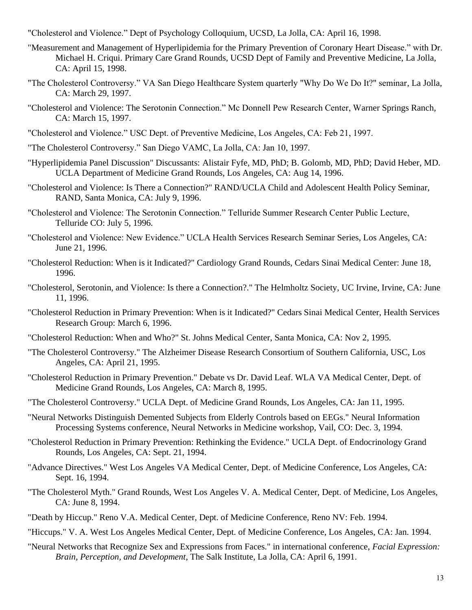"Cholesterol and Violence." Dept of Psychology Colloquium, UCSD, La Jolla, CA: April 16, 1998.

- "Measurement and Management of Hyperlipidemia for the Primary Prevention of Coronary Heart Disease." with Dr. Michael H. Criqui. Primary Care Grand Rounds, UCSD Dept of Family and Preventive Medicine, La Jolla, CA: April 15, 1998.
- "The Cholesterol Controversy." VA San Diego Healthcare System quarterly "Why Do We Do It?" seminar, La Jolla, CA: March 29, 1997.
- "Cholesterol and Violence: The Serotonin Connection." Mc Donnell Pew Research Center, Warner Springs Ranch, CA: March 15, 1997.
- "Cholesterol and Violence." USC Dept. of Preventive Medicine, Los Angeles, CA: Feb 21, 1997.
- "The Cholesterol Controversy." San Diego VAMC, La Jolla, CA: Jan 10, 1997.
- "Hyperlipidemia Panel Discussion" Discussants: Alistair Fyfe, MD, PhD; B. Golomb, MD, PhD; David Heber, MD. UCLA Department of Medicine Grand Rounds, Los Angeles, CA: Aug 14, 1996.
- "Cholesterol and Violence: Is There a Connection?" RAND/UCLA Child and Adolescent Health Policy Seminar, RAND, Santa Monica, CA: July 9, 1996.
- "Cholesterol and Violence: The Serotonin Connection." Telluride Summer Research Center Public Lecture, Telluride CO: July 5, 1996.
- "Cholesterol and Violence: New Evidence." UCLA Health Services Research Seminar Series, Los Angeles, CA: June 21, 1996.
- "Cholesterol Reduction: When is it Indicated?" Cardiology Grand Rounds, Cedars Sinai Medical Center: June 18, 1996.
- "Cholesterol, Serotonin, and Violence: Is there a Connection?." The Helmholtz Society, UC Irvine, Irvine, CA: June 11, 1996.
- "Cholesterol Reduction in Primary Prevention: When is it Indicated?" Cedars Sinai Medical Center, Health Services Research Group: March 6, 1996.
- "Cholesterol Reduction: When and Who?" St. Johns Medical Center, Santa Monica, CA: Nov 2, 1995.
- "The Cholesterol Controversy." The Alzheimer Disease Research Consortium of Southern California, USC, Los Angeles, CA: April 21, 1995.
- "Cholesterol Reduction in Primary Prevention." Debate vs Dr. David Leaf. WLA VA Medical Center, Dept. of Medicine Grand Rounds, Los Angeles, CA: March 8, 1995.
- "The Cholesterol Controversy." UCLA Dept. of Medicine Grand Rounds, Los Angeles, CA: Jan 11, 1995.
- "Neural Networks Distinguish Demented Subjects from Elderly Controls based on EEGs." Neural Information Processing Systems conference, Neural Networks in Medicine workshop, Vail, CO: Dec. 3, 1994.
- "Cholesterol Reduction in Primary Prevention: Rethinking the Evidence." UCLA Dept. of Endocrinology Grand Rounds, Los Angeles, CA: Sept. 21, 1994.
- "Advance Directives." West Los Angeles VA Medical Center, Dept. of Medicine Conference, Los Angeles, CA: Sept. 16, 1994.
- "The Cholesterol Myth." Grand Rounds, West Los Angeles V. A. Medical Center, Dept. of Medicine, Los Angeles, CA: June 8, 1994.
- "Death by Hiccup." Reno V.A. Medical Center, Dept. of Medicine Conference, Reno NV: Feb. 1994.
- "Hiccups." V. A. West Los Angeles Medical Center, Dept. of Medicine Conference, Los Angeles, CA: Jan. 1994.
- "Neural Networks that Recognize Sex and Expressions from Faces." in international conference, *Facial Expression: Brain, Perception, and Development*, The Salk Institute, La Jolla, CA: April 6, 1991.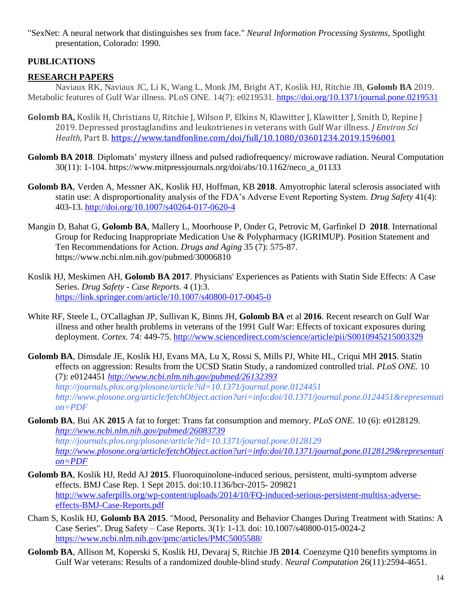"SexNet: A neural network that distinguishes sex from face." *Neural Information Processing Systems*, Spotlight presentation, Colorado: 1990.

## **PUBLICATIONS**

## **RESEARCH PAPERS**

Naviaux RK, Naviaux JC, Li K, Wang L, Monk JM, Bright AT, Koslik HJ, Ritchie JB, **Golomb BA** 2019. Metabolic features of Gulf War illness. PLoS ONE. 14(7): e0219531. <https://doi.org/10.1371/journal.pone.0219531>

- **Golomb BA,** Koslik H, Christians U, Ritchie J, Wilson P, Elkins N, Klawitter J, Klawitter J, Smith D, Repine J 2019. Depressed prostaglandins and leukotrienes in veterans with Gulf War illness. *J Environ Sci Health,* Part B*.* <https://www.tandfonline.com/doi/full/10.1080/03601234.2019.1596001>
- **Golomb BA 2018**. Diplomats' mystery illness and pulsed radiofrequency/ microwave radiation. Neural Computation 30(11): 1-104. https://www.mitpressjournals.org/doi/abs/10.1162/neco\_a\_01133
- **Golomb BA**, Verden A, Messner AK, Koslik HJ, Hoffman, KB **2018**. Amyotrophic lateral sclerosis associated with statin use: A disproportionality analysis of the FDA's Adverse Event Reporting System. *Drug Safety* 41(4): 403-13.<http://doi.org/10.1007/s40264-017-0620-4>
- Mangin D, Bahat G, **Golomb BA**, Mallery L, Moorhouse P, Onder G, Petrovic M, Garfinkel D **2018**. International Group for Reducing Inappropriate Medication Use & Polypharmacy (IGRIMUP). Position Statement and Ten Recommendations for Action. *Drugs and Aging* 35 (7): 575-87. https://www.ncbi.nlm.nih.gov/pubmed/30006810
- Koslik HJ, Meskimen AH, **Golomb BA 2017**. Physicians' Experiences as Patients with Statin Side Effects: A Case Series. *Drug Safety - Case Reports.* 4 (1):3. <https://link.springer.com/article/10.1007/s40800-017-0045-0>
- White RF, Steele L, O'Callaghan JP, Sullivan K, Binns JH, **Golomb BA** et al **2016**. Recent research on Gulf War illness and other health problems in veterans of the 1991 Gulf War: Effects of toxicant exposures during deployment. *Cortex.* 74: 449-75. <http://www.sciencedirect.com/science/article/pii/S0010945215003329>
- **Golomb BA**, Dimsdale JE, Koslik HJ, Evans MA, Lu X, Rossi S, Mills PJ, White HL, Criqui MH **2015**. Statin effects on aggression: Results from the UCSD Statin Study, a randomized controlled trial. *PLoS ONE.* 10 (7): e0124451 *<http://www.ncbi.nlm.nih.gov/pubmed/26132393> http://journals.plos.org/plosone/article?id=10.1371/journal.pone.0124451 http://www.plosone.org/article/fetchObject.action?uri=info:doi/10.1371/journal.pone.0124451&representati on=PDF*
- **Golomb BA**, Bui AK **2015** A fat to forget: Trans fat consumption and memory. *PLoS ONE.* 10 (6): e0128129. *<http://www.ncbi.nlm.nih.gov/pubmed/26083739> http://journals.plos.org/plosone/article?id=10.1371/journal.pone.0128129*

*[http://www.plosone.org/article/fetchObject.action?uri=info:doi/10.1371/journal.pone.0128129&representati](http://www.plosone.org/article/fetchObject.action?uri=info:doi/10.1371/journal.pone.0128129&representation=PDF) [on=PDF](http://www.plosone.org/article/fetchObject.action?uri=info:doi/10.1371/journal.pone.0128129&representation=PDF)*

- **Golomb BA**, Koslik HJ, Redd AJ **2015**. Fluoroquinolone-induced serious, persistent, multi-symptom adverse effects. BMJ Case Rep. 1 Sept 2015. doi:10.1136/bcr-2015- 209821 [http://www.saferpills.org/wp-content/uploads/2014/10/FQ-induced-serious-persistent-multisx-adverse](http://www.saferpills.org/wp-content/uploads/2014/10/FQ-induced-serious-persistent-multisx-adverse-effects-BMJ-Case-Reports.pdf)[effects-BMJ-Case-Reports.pdf](http://www.saferpills.org/wp-content/uploads/2014/10/FQ-induced-serious-persistent-multisx-adverse-effects-BMJ-Case-Reports.pdf)
- Cham S, Koslik HJ, **Golomb BA 2015**. "Mood, Personality and Behavior Changes During Treatment with Statins: A Case Series". Drug Safety – Case Reports. 3(1): 1-13. doi: 10.1007/s40800-015-0024-2 <https://www.ncbi.nlm.nih.gov/pmc/articles/PMC5005588/>
- **Golomb BA**, Allison M, Koperski S, Koslik HJ, Devaraj S, Ritchie JB **2014**. Coenzyme Q10 benefits symptoms in Gulf War veterans: Results of a randomized double-blind study. *Neural Computation* 26(11):2594-4651.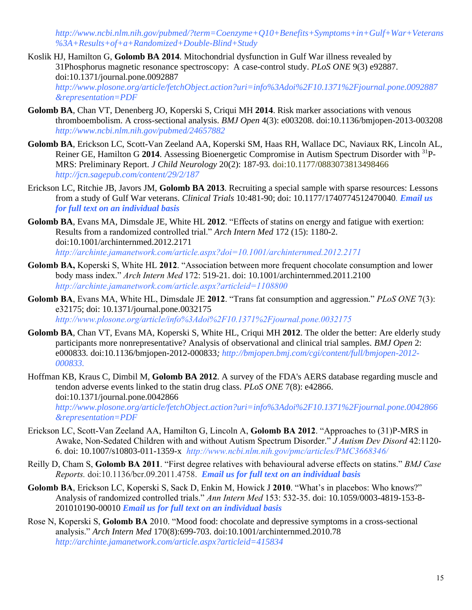*http://www.ncbi.nlm.nih.gov/pubmed/?term=Coenzyme+Q10+Benefits+Symptoms+in+Gulf+War+Veterans %3A+Results+of+a+Randomized+Double-Blind+Study*

- Koslik HJ, Hamilton G, **Golomb BA 2014**. Mitochondrial dysfunction in Gulf War illness revealed by 31Phosphorus magnetic resonance spectroscopy: A case-control study. *PLoS ONE* 9(3) e92887. doi:10.1371/journal.pone.0092887 *[http://www.plosone.org/article/fetchObject.action?uri=info%3Adoi%2F10.1371%2Fjournal.pone.0092887](http://www.plosone.org/article/fetchObject.action?uri=info%3Adoi%2F10.1371%2Fjournal.pone.0092887&representation=PDF) [&representation=PDF](http://www.plosone.org/article/fetchObject.action?uri=info%3Adoi%2F10.1371%2Fjournal.pone.0092887&representation=PDF)*
- **Golomb BA**, Chan VT, Denenberg JO, Koperski S, Criqui MH **2014**. Risk marker associations with venous thromboembolism. A cross-sectional analysis. *BMJ Open* 4(3): e003208. doi:10.1136/bmjopen-2013-003208 *http://www.ncbi.nlm.nih.gov/pubmed/24657882*
- **Golomb BA**, Erickson LC, Scott-Van Zeeland AA, Koperski SM, Haas RH, Wallace DC, Naviaux RK, Lincoln AL, Reiner GE, Hamilton G **2014**. Assessing Bioenergetic Compromise in Autism Spectrum Disorder with <sup>31</sup>P-MRS: Preliminary Report. *J Child Neurology* 20(2): 187-93*.* doi:10.1177/0883073813498466 *<http://jcn.sagepub.com/content/29/2/187>*
- Erickson LC, Ritchie JB, Javors JM, **Golomb BA 2013**. Recruiting a special sample with sparse resources: Lessons from a study of Gulf War veterans. *Clinical Trials* 10:481-90; doi: 10.1177/1740774512470040*. Email us for full text on an individual basis*
- **Golomb BA**, Evans MA, Dimsdale JE, White HL **2012**. "Effects of statins on energy and fatigue with exertion: Results from a randomized controlled trial." *Arch Intern Med* 172 (15): 1180-2. doi:10.1001/archinternmed.2012.2171 *http://archinte.jamanetwork.com/article.aspx?doi=10.1001/archinternmed.2012.2171*
- **Golomb BA,** Koperski S, White HL **2012**. "Association between more frequent chocolate consumption and lower body mass index." *Arch Intern Med* 172: 519-21. doi: 10.1001/archinternmed.2011.2100 *http://archinte.jamanetwork.com/article.aspx?articleid=1108800*
- **Golomb BA**, Evans MA, White HL, Dimsdale JE **2012**. "Trans fat consumption and aggression." *PLoS ONE* 7(3): e32175; doi: 10.1371/journal.pone.0032175 *<http://www.plosone.org/article/info%3Adoi%2F10.1371%2Fjournal.pone.0032175>*
- **Golomb BA**, Chan VT, Evans MA, Koperski S, White HL, Criqui MH **2012**. The older the better: Are elderly study participants more nonrepresentative? Analysis of observational and clinical trial samples. *BMJ Open* 2: e000833*.* doi:10.1136/bmjopen-2012-000833*; http://bmjopen.bmj.com/cgi/content/full/bmjopen-2012- 000833.*
- Hoffman KB, Kraus C, Dimbil M, **Golomb BA 2012**. A survey of the FDA's AERS database regarding muscle and tendon adverse events linked to the statin drug class. *PLoS ONE* 7(8): e42866. doi:10.1371/journal.pone.0042866 *http://www.plosone.org/article/fetchObject.action?uri=info%3Adoi%2F10.1371%2Fjournal.pone.0042866 &representation=PDF*
- Erickson LC, Scott-Van Zeeland AA, Hamilton G, Lincoln A, **Golomb BA 2012**. "Approaches to (31)P-MRS in Awake, Non-Sedated Children with and without Autism Spectrum Disorder." *J Autism Dev Disord* 42:1120- 6. doi: 10.1007/s10803-011-1359-x *<http://www.ncbi.nlm.nih.gov/pmc/articles/PMC3668346/>*
- Reilly D, Cham S, **Golomb BA 2011**. "First degree relatives with behavioural adverse effects on statins." *BMJ Case Reports.* doi:10.1136/bcr.09.2011.4758. *Email us for full text on an individual basis*
- **Golomb BA**, Erickson LC, Koperski S, Sack D, Enkin M, Howick J **2010**. "What's in placebos: Who knows?" Analysis of randomized controlled trials." *Ann Intern Med* 153: 532-35. doi: 10.1059/0003-4819-153-8- 201010190-00010 *Email us for full text on an individual basis*
- Rose N, Koperski S, **Golomb BA** 2010. "Mood food: chocolate and depressive symptoms in a cross-sectional analysis." *Arch Intern Med* 170(8):699-703. doi:10.1001/archinternmed.2010.78 *http://archinte.jamanetwork.com/article.aspx?articleid=415834*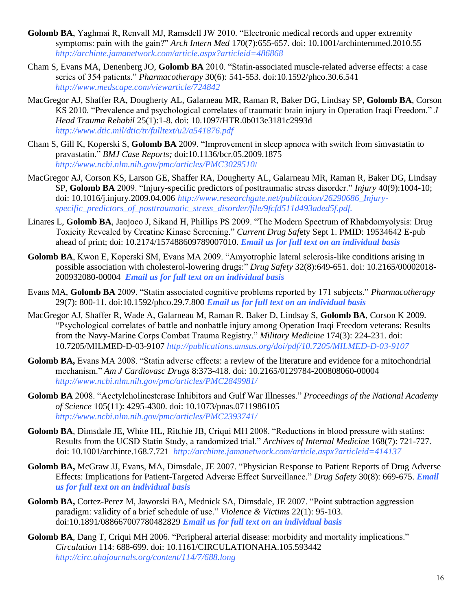- **Golomb BA**, Yaghmai R, Renvall MJ, Ramsdell JW 2010. "Electronic medical records and upper extremity symptoms: pain with the gain?" *Arch Intern Med* 170(7):655-657. doi: 10.1001/archinternmed.2010.55 *http://archinte.jamanetwork.com/article.aspx?articleid=486868*
- Cham S, Evans MA, Denenberg JO, **Golomb BA** 2010. "Statin-associated muscle-related adverse effects: a case series of 354 patients." *Pharmacotherapy* 30(6): 541-553. doi:10.1592/phco.30.6.541 *http://www.medscape.com/viewarticle/724842*
- MacGregor AJ, Shaffer RA, Dougherty AL, Galarneau MR, Raman R, Baker DG, Lindsay SP, **Golomb BA**, Corson KS 2010. "Prevalence and psychological correlates of traumatic brain injury in Operation Iraqi Freedom." *J Head Trauma Rehabil* 25(1):1-8. doi: 10.1097/HTR.0b013e3181c2993d *http://www.dtic.mil/dtic/tr/fulltext/u2/a541876.pdf*
- Cham S, Gill K, Koperski S, **Golomb BA** 2009. "Improvement in sleep apnoea with switch from simvastatin to pravastatin." *BMJ Case Reports;* doi:10.1136/bcr.05.2009.1875 *http://www.ncbi.nlm.nih.gov/pmc/articles/PMC3029510*/
- MacGregor AJ, Corson KS, Larson GE, Shaffer RA, Dougherty AL, Galarneau MR, Raman R, Baker DG, Lindsay SP, **Golomb BA** 2009. "Injury-specific predictors of posttraumatic stress disorder." *Injury* 40(9):1004-10; doi: 10.1016/j.injury.2009.04.006 *http://www.researchgate.net/publication/26290686\_Injuryspecific\_predictors\_of\_posttraumatic\_stress\_disorder/file/9fcfd511d493aded5f.pdf.*
- Linares L, **Golomb BA**, Jaojoco J, Sikand H, Phillips PS 2009. "The Modern Spectrum of Rhabdomyolysis: Drug Toxicity Revealed by Creatine Kinase Screening." *Current Drug Saf*ety Sept 1. PMID: 19534642 E-pub ahead of print; doi: 10.2174/157488609789007010. *Email us for full text on an individual basis*
- **Golomb BA**, Kwon E, Koperski SM, Evans MA 2009. "Amyotrophic lateral sclerosis-like conditions arising in possible association with cholesterol-lowering drugs:" *Drug Safety* 32(8):649-651. doi: 10.2165/00002018- 200932080-00004 *Email us for full text on an individual basis*
- Evans MA, **Golomb BA** 2009. "Statin associated cognitive problems reported by 171 subjects." *Pharmacotherapy*  29(7): 800-11. doi:10.1592/phco.29.7.800 *Email us for full text on an individual basis*
- MacGregor AJ, Shaffer R, Wade A, Galarneau M, Raman R. Baker D, Lindsay S, **Golomb BA**, Corson K 2009. "Psychological correlates of battle and nonbattle injury among Operation Iraqi Freedom veterans: Results from the Navy-Marine Corps Combat Trauma Registry." *Military Medicine* 174(3): 224-231. doi: 10.7205/MILMED-D-03-9107 *<http://publications.amsus.org/doi/pdf/10.7205/MILMED-D-03-9107>*
- Golomb BA, Evans MA 2008. "Statin adverse effects: a review of the literature and evidence for a mitochondrial mechanism." *Am J Cardiovasc Drugs* 8:373-418. doi: 10.2165/0129784-200808060-00004 *http://www.ncbi.nlm.nih.gov/pmc/articles/PMC2849981/*
- **Golomb BA** 2008. "Acetylcholinesterase Inhibitors and Gulf War Illnesses." *Proceedings of the National Academy of Science* 105(11): 4295-4300. doi: 10.1073/pnas.0711986105 *http://www.ncbi.nlm.nih.gov/pmc/articles/PMC2393741/*
- **Golomb BA**, Dimsdale JE, White HL, Ritchie JB, Criqui MH 2008. "Reductions in blood pressure with statins: Results from the UCSD Statin Study, a randomized trial." *Archives of Internal Medicine* 168(7): 721-727. doi: 10.1001/archinte.168.7.721 *http://archinte.jamanetwork.com/article.aspx?articleid=414137*
- **Golomb BA,** McGraw JJ, Evans, MA, Dimsdale, JE 2007. "Physician Response to Patient Reports of Drug Adverse Effects: Implications for Patient-Targeted Adverse Effect Surveillance." *Drug Safety* 30(8): 669-675. *Email us for full text on an individual basis*
- **Golomb BA,** Cortez-Perez M, Jaworski BA, Mednick SA, Dimsdale, JE 2007. "Point subtraction aggression paradigm: validity of a brief schedule of use." *Violence & Victims* 22(1): 95-103. doi:10.1891/088667007780482829 *Email us for full text on an individual basis*
- **Golomb BA**, Dang T, Criqui MH 2006. "Peripheral arterial disease: morbidity and mortality implications." *Circulation* 114: 688-699. doi: 10.1161/CIRCULATIONAHA.105.593442 *http://circ.ahajournals.org/content/114/7/688.long*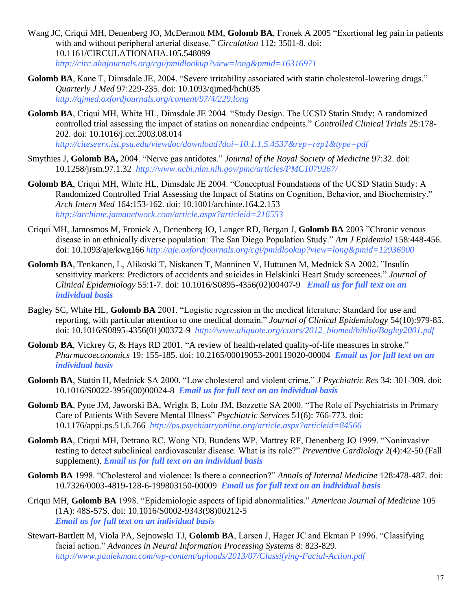- Wang JC, Criqui MH, Denenberg JO, McDermott MM, **Golomb BA**, Fronek A 2005 "Exertional leg pain in patients with and without peripheral arterial disease." *Circulation* 112: 3501-8. doi: 10.1161/CIRCULATIONAHA.105.548099 *http://circ.ahajournals.org/cgi/pmidlookup?view=long&pmid=16316971*
- **Golomb BA**, Kane T, Dimsdale JE, 2004. "Severe irritability associated with statin cholesterol-lowering drugs." *Quarterly J Med* 97:229-235. doi: 10.1093/qjmed/hch035 *http://qjmed.oxfordjournals.org/content/97/4/229.long*
- **Golomb BA**, Criqui MH, White HL, Dimsdale JE 2004. "Study Design. The UCSD Statin Study: A randomized controlled trial assessing the impact of statins on noncardiac endpoints." *Controlled Clinical Trials* 25:178- 202. doi: 10.1016/j.cct.2003.08.014

*<http://citeseerx.ist.psu.edu/viewdoc/download?doi=10.1.1.5.4537&rep=rep1&type=pdf>*

- Smythies J, **Golomb BA,** 2004. "Nerve gas antidotes." *Journal of the Royal Society of Medicine* 97:32. doi: 10.1258/jrsm.97.1.32 *http://www.ncbi.nlm.nih.gov/pmc/articles/PMC1079267/*
- **Golomb BA**, Criqui MH, White HL, Dimsdale JE 2004. "Conceptual Foundations of the UCSD Statin Study: A Randomized Controlled Trial Assessing the Impact of Statins on Cognition, Behavior, and Biochemistry." *Arch Intern Med* 164:153-162. doi: 10.1001/archinte.164.2.153 *<http://archinte.jamanetwork.com/article.aspx?articleid=216553>*
- Criqui MH, Jamosmos M, Froniek A, Denenberg JO, Langer RD, Bergan J, **Golomb BA** 2003 "Chronic venous disease in an ethnically diverse population: The San Diego Population Study." *Am J Epidemiol* 158:448-456. doi: 10.1093/aje/kwg166 *http://aje.oxfordjournals.org/cgi/pmidlookup?view=long&pmid=12936900*
- **Golomb BA**, Tenkanen, L, Alikoski T, Niskanen T, Manninen V, Huttunen M, Mednick SA 2002. "Insulin sensitivity markers: Predictors of accidents and suicides in Helskinki Heart Study screenees." *Journal of Clinical Epidemiology* 55:1-7. doi: 10.1016/S0895-4356(02)00407-9 *Email us for full text on an individual basis*
- Bagley SC, White HL, **Golomb BA** 2001. "Logistic regression in the medical literature: Standard for use and reporting, with particular attention to one medical domain." *Journal of Clinical Epidemiology* 54(10):979-85. doi: 10.1016/S0895-4356(01)00372-9 *[http://www.aliquote.org/cours/2012\\_biomed/biblio/Bagley2001.pdf](http://www.aliquote.org/cours/2012_biomed/biblio/Bagley2001.pdf)*
- **Golomb BA**, Vickrey G, & Hays RD 2001. "A review of health-related quality-of-life measures in stroke." *Pharmacoeconomics* 19: 155-185. doi: 10.2165/00019053-200119020-00004 *Email us for full text on an individual basis*
- **Golomb BA**, Stattin H, Mednick SA 2000. "Low cholesterol and violent crime." *J Psychiatric Res* 34: 301-309. doi: 10.1016/S0022-3956(00)00024-8 *Email us for full text on an individual basis*
- **Golomb BA**, Pyne JM, Jaworski BA, Wright B, Lohr JM, Bozzette SA 2000. "The Role of Psychiatrists in Primary Care of Patients With Severe Mental Illness" *Psychiatric Services* 51(6): 766-773. doi: 10.1176/appi.ps.51.6.766 *http://ps.psychiatryonline.org/article.aspx?articleid=84566*
- **Golomb BA**, Criqui MH, Detrano RC, Wong ND, Bundens WP, Mattrey RF, Denenberg JO 1999. "Noninvasive testing to detect subclinical cardiovascular disease. What is its role?" *Preventive Cardiology* 2(4):42-50 (Fall supplement). *Email us for full text on an individual basis*
- **Golomb BA** 1998. "Cholesterol and violence: Is there a connection?" *Annals of Internal Medicine* 128:478-487. doi: 10.7326/0003-4819-128-6-199803150-00009 *Email us for full text on an individual basis*
- Criqui MH, **Golomb BA** 1998. "Epidemiologic aspects of lipid abnormalities." *American Journal of Medicine* 105 (1A): 48S-57S. doi: 10.1016/S0002-9343(98)00212-5 *Email us for full text on an individual basis*
- Stewart-Bartlett M, Viola PA, Sejnowski TJ, **Golomb BA**, Larsen J, Hager JC and Ekman P 1996. "Classifying facial action." *Advances in Neural Information Processing Systems* 8: 823-829. *<http://www.paulekman.com/wp-content/uploads/2013/07/Classifying-Facial-Action.pdf>*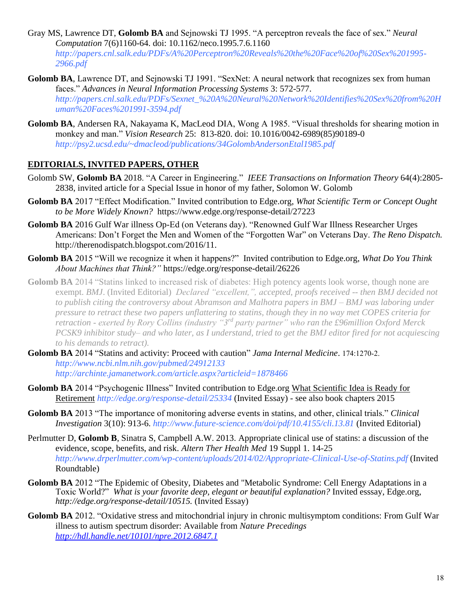- Gray MS, Lawrence DT, **Golomb BA** and Sejnowski TJ 1995. "A perceptron reveals the face of sex." *Neural Computation* 7(6)1160-64. doi: 10.1162/neco.1995.7.6.1160 *http://papers.cnl.salk.edu/PDFs/A%20Perceptron%20Reveals%20the%20Face%20of%20Sex%201995- 2966.pdf*
- **Golomb BA**, Lawrence DT, and Sejnowski TJ 1991. "SexNet: A neural network that recognizes sex from human faces." *Advances in Neural Information Processing Systems* 3: 572-577. *http://papers.cnl.salk.edu/PDFs/Sexnet\_%20A%20Neural%20Network%20Identifies%20Sex%20from%20H uman%20Faces%201991-3594.pdf*
- **Golomb BA**, Andersen RA, Nakayama K, MacLeod DIA, Wong A 1985. "Visual thresholds for shearing motion in monkey and man." *Vision Research* 25: 813-820. doi: 10.1016/0042-6989(85)90189-0 *http://psy2.ucsd.edu/~dmacleod/publications/34GolombAndersonEtal1985.pdf*

### **EDITORIALS, INVITED PAPERS, OTHER**

- Golomb SW, **Golomb BA** 2018. "A Career in Engineering." *IEEE Transactions on Information Theory* 64(4):2805- 2838, invited article for a Special Issue in honor of my father, Solomon W. Golomb
- **Golomb BA** 2017 "Effect Modification." Invited contribution to Edge.org, *What Scientific Term or Concept Ought to be More Widely Known?* https://www.edge.org/response-detail/27223
- **Golomb BA** 2016 Gulf War illness Op-Ed (on Veterans day). "Renowned Gulf War Illness Researcher Urges Americans: Don't Forget the Men and Women of the "Forgotten War" on Veterans Day. *The Reno Dispatch.* http://therenodispatch.blogspot.com/2016/11.
- **Golomb BA** 2015 "Will we recognize it when it happens?" Invited contribution to Edge.org, *What Do You Think About Machines that Think?"* https://edge.org/response-detail/26226
- **Golomb BA** 2014 "Statins linked to increased risk of diabetes: High potency agents look worse, though none are exempt. *BMJ*. (Invited Editorial) *Declared "excellent,", accepted, proofs received -- then BMJ decided not to publish citing the controversy about Abramson and Malhotra papers in BMJ – BMJ was laboring under pressure to retract these two papers unflattering to statins, though they in no way met COPES criteria for retraction - exerted by Rory Collins (industry "3rd party partner" who ran the £96million Oxford Merck PCSK9 inhibitor study– and who later, as I understand, tried to get the BMJ editor fired for not acquiescing to his demands to retract).*
- **Golomb BA** 2014 "Statins and activity: Proceed with caution" *Jama Internal Medicine*. 174:1270-2. *http://www.ncbi.nlm.nih.gov/pubmed/24912133 http://archinte.jamanetwork.com/article.aspx?articleid=1878466*
- **Golomb BA** 2014 "Psychogenic Illness" Invited contribution to Edge.org What Scientific Idea is Ready for Retirement *<http://edge.org/response-detail/25334>* (Invited Essay) - see also book chapters 2015
- **Golomb BA** 2013 "The importance of monitoring adverse events in statins, and other, clinical trials." *Clinical Investigation* 3(10): 913-6. *<http://www.future-science.com/doi/pdf/10.4155/cli.13.81>* (Invited Editorial)
- Perlmutter D, **Golomb B**, Sinatra S, Campbell A.W. 2013. Appropriate clinical use of statins: a discussion of the evidence, scope, benefits, and risk. *Altern Ther Health Med* 19 Suppl 1. 14-25 *<http://www.drperlmutter.com/wp-content/uploads/2014/02/Appropriate-Clinical-Use-of-Statins.pdf>* (Invited Roundtable)
- **Golomb BA** 2012 "The Epidemic of Obesity, Diabetes and "Metabolic Syndrome: Cell Energy Adaptations in a Toxic World?" *What is your favorite deep, elegant or beautiful explanation?* Invited esssay, Edge.org, *http://edge.org/response-detail/10515.* (Invited Essay)
- **Golomb BA** 2012. "Oxidative stress and mitochondrial injury in chronic multisymptom conditions: From Gulf War illness to autism spectrum disorder: Available from *Nature Precedings <http://hdl.handle.net/10101/npre.2012.6847.1>*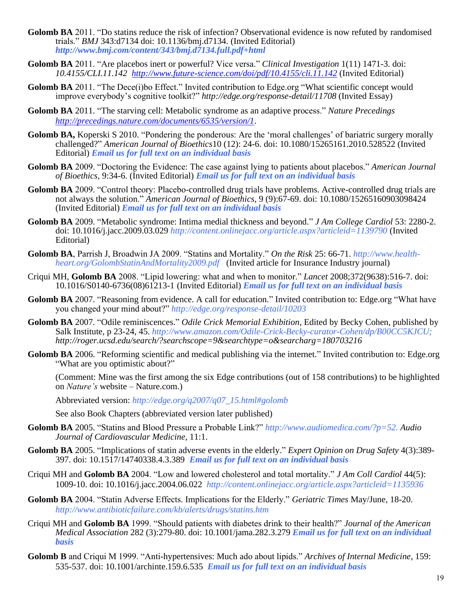- **Golomb BA** 2011. "Do statins reduce the risk of infection? Observational evidence is now refuted by randomised trials." *BMJ* 343:d7134 doi: 10.1136/bmj.d7134. (Invited Editorial) *http://www.bmj.com/content/343/bmj.d7134.full.pdf+html*
- **Golomb BA** 2011. "Are placebos inert or powerful? Vice versa." *Clinical Investigation* 1(11) 1471-3. doi: *10.4155/CLI.11.142<http://www.future-science.com/doi/pdf/10.4155/cli.11.142>* (Invited Editorial)
- Golomb BA 2011. "The Dece(i)bo Effect." Invited contribution to Edge.org "What scientific concept would improve everybody's cognitive toolkit?" *http://edge.org/response-detail/11708* (Invited Essay)
- **Golomb BA** 2011. "The starving cell: Metabolic syndrome as an adaptive process." *Nature Precedings [http://precedings.nature.com/documents/6535/version/1.](http://precedings.nature.com/documents/6535/version/1)*
- **Golomb BA,** Koperski S 2010. "Pondering the ponderous: Are the 'moral challenges' of bariatric surgery morally challenged?" *American Journal of Bioethics*10 (12): 24-6. doi: 10.1080/15265161.2010.528522 (Invited Editorial) *Email us for full text on an individual basis*
- **Golomb BA** 2009. "Doctoring the Evidence: The case against lying to patients about placebos." *American Journal of Bioethics,* 9:34-6. (Invited Editorial) *Email us for full text on an individual basis*
- **Golomb BA** 2009. "Control theory: Placebo-controlled drug trials have problems. Active-controlled drug trials are not always the solution." *American Journal of Bioethics*, 9 (9):67-69. doi: 10.1080/15265160903098424 (Invited Editorial) *Email us for full text on an individual basis*
- **Golomb BA** 2009. "Metabolic syndrome: Intima medial thickness and beyond." *J Am College Cardiol* 53: 2280-2. doi: 10.1016/j.jacc.2009.03.029 *<http://content.onlinejacc.org/article.aspx?articleid=1139790>* (Invited Editorial)
- **Golomb BA**, Parrish J, Broadwin JA 2009. "Statins and Mortality." *On the Risk* 25: 66-71. *http://www.healthheart.org/GolombStatinAndMortality2009.pdf* (Invited article for Insurance Industry journal)
- Criqui MH, **Golomb BA** 2008. "Lipid lowering: what and when to monitor." *Lancet* 2008;372(9638):516-7. doi: 10.1016/S0140-6736(08)61213-1 (Invited Editorial) *Email us for full text on an individual basis*
- **Golomb BA** 2007. "Reasoning from evidence. A call for education." Invited contribution to: Edge.org "What have you changed your mind about?" *http://edge.org/response-detail/10203*
- **Golomb BA** 2007. "Odile reminiscences." *Odile Crick Memorial Exhibition*, Edited by Becky Cohen, published by Salk Institute, p 23-24, 45. *[http://www.amazon.com/Odile-Crick-Becky-curator-Cohen/dp/B00CC5KJCU;](http://www.amazon.com/Odile-Crick-Becky-curator-Cohen/dp/B00CC5KJCU) http://roger.ucsd.edu/search/?searchscope=9&searchtype=o&searcharg=180703216*
- **Golomb BA** 2006. "Reforming scientific and medical publishing via the internet." Invited contribution to: Edge.org "What are you optimistic about?"

(Comment: Mine was the first among the six Edge contributions (out of 158 contributions) to be highlighted on *Nature's* website – Nature.com.)

Abbreviated version: *http://edge.org/q2007/q07\_15.html#golomb*

See also Book Chapters (abbreviated version later published)

- **Golomb BA** 2005. "Statins and Blood Pressure a Probable Link?" *[http://www.audiomedica.com/?p=52.](http://www.audiomedica.com/?p=52) Audio Journal of Cardiovascular Medicine*, 11:1.
- **Golomb BA** 2005. "Implications of statin adverse events in the elderly." *Expert Opinion on Drug Safety* 4(3):389- 397. doi: 10.1517/14740338.4.3.389 *Email us for full text on an individual basis*
- Criqui MH and **Golomb BA** 2004. "Low and lowered cholesterol and total mortality." *J Am Coll Cardiol* 44(5): 1009-10. doi: 10.1016/j.jacc.2004.06.022 *http://content.onlinejacc.org/article.aspx?articleid=1135936*
- **Golomb BA** 2004. "Statin Adverse Effects. Implications for the Elderly." *Geriatric Times* May/June, 18-20. *<http://www.antibioticfailure.com/kb/alerts/drugs/statins.htm>*
- Criqui MH and **Golomb BA** 1999. "Should patients with diabetes drink to their health?" *Journal of the American Medical Association* 282 (3):279-80. doi: 10.1001/jama.282.3.279 *Email us for full text on an individual basis*
- **Golomb B** and Criqui M 1999. "Anti-hypertensives: Much ado about lipids." *Archives of Internal Medicine*, 159: 535-537. doi: 10.1001/archinte.159.6.535 *Email us for full text on an individual basis*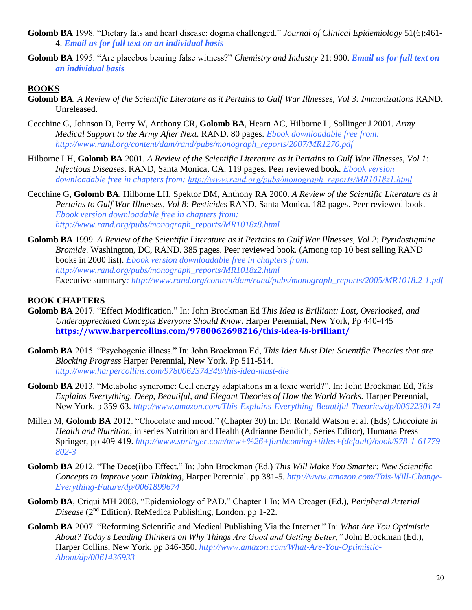- **Golomb BA** 1998. "Dietary fats and heart disease: dogma challenged." *Journal of Clinical Epidemiology* 51(6):461- 4. *Email us for full text on an individual basis*
- **Golomb BA** 1995. "Are placebos bearing false witness?" *Chemistry and Industry* 21: 900. *Email us for full text on an individual basis*

### **BOOKS**

- **Golomb BA**. *A Review of the Scientific Literature as it Pertains to Gulf War Illnesses, Vol 3: Immunizations* RAND. Unreleased.
- Cecchine G, Johnson D, Perry W, Anthony CR, **Golomb BA**, Hearn AC, Hilborne L, Sollinger J 2001. *Army Medical Support to the Army After Next.* RAND. 80 pages. *Ebook downloadable free from: http://www.rand.org/content/dam/rand/pubs/monograph\_reports/2007/MR1270.pdf*
- Hilborne LH, **Golomb BA** 2001. *A Review of the Scientific Literature as it Pertains to Gulf War Illnesses, Vol 1: Infectious Diseases*. RAND, Santa Monica, CA. 119 pages. Peer reviewed book. *Ebook version downloadable free in chapters from: [http://www.rand.org/pubs/monograph\\_reports/MR1018z1.html](http://www.rand.org/pubs/monograph_reports/MR1018z1.html)*
- Cecchine G, **Golomb BA**, Hilborne LH, Spektor DM, Anthony RA 2000. *A Review of the Scientific Literature as it Pertains to Gulf War Illnesses, Vol 8: Pesticide*s RAND, Santa Monica. 182 pages. Peer reviewed book. *Ebook version downloadable free in chapters from: http://www.rand.org/pubs/monograph\_reports/MR1018z8.html*
- **Golomb BA** 1999. *A Review of the Scientific Literature as it Pertains to Gulf War Illnesses, Vol 2: Pyridostigmine Bromide*. Washington, DC, RAND. 385 pages. Peer reviewed book. (Among top 10 best selling RAND books in 2000 list). *Ebook version downloadable free in chapters from: [http://www.rand.org/pubs/monograph\\_reports/MR1018z2.html](http://www.rand.org/pubs/monograph_reports/MR1018z2.html)* Executive summary*: http://www.rand.org/content/dam/rand/pubs/monograph\_reports/2005/MR1018.2-1.pdf*

### **BOOK CHAPTERS**

- **Golomb BA** 2017. "Effect Modification." In: John Brockman Ed *This Idea is Brilliant: Lost, Overlooked, and Underappreciated Concepts Everyone Should Know*. Harper Perennial, New York, Pp 440-445 **<https://www.harpercollins.com/9780062698216/this-idea-is-brilliant/>**
- **Golomb BA** 2015. "Psychogenic illness." In: John Brockman Ed, *This Idea Must Die: Scientific Theories that are Blocking Progress* Harper Perennial, New York. Pp 511-514. *http://www.harpercollins.com/9780062374349/this-idea-must-die*
- **Golomb BA** 2013. "Metabolic syndrome: Cell energy adaptations in a toxic world?". In: John Brockman Ed, *This Explains Evertything. Deep, Beautiful, and Elegant Theories of How the World Works.* Harper Perennial, New York. p 359-63. *<http://www.amazon.com/This-Explains-Everything-Beautiful-Theories/dp/0062230174>*
- Millen M, **Golomb BA** 2012. "Chocolate and mood." (Chapter 30) In: Dr. Ronald Watson et al. (Eds) *Chocolate in Health and Nutrition*, in series Nutrition and Health (Adrianne Bendich, Series Editor), Humana Press Springer, pp 409-419. *[http://www.springer.com/new+%26+forthcoming+titles+\(default\)/book/978-1-61779-](http://www.springer.com/new+%26+forthcoming+titles+(default)/book/978-1-61779-802-3) [802-3](http://www.springer.com/new+%26+forthcoming+titles+(default)/book/978-1-61779-802-3)*
- **Golomb BA** 2012. "The Dece(i)bo Effect." In: John Brockman (Ed.) *This Will Make You Smarter: New Scientific Concepts to Improve your Thinking*, Harper Perennial. pp 381-5. *http://www.amazon.com/This-Will-Change-Everything-Future/dp/0061899674*
- **Golomb BA**, Criqui MH 2008*.* "Epidemiology of PAD." Chapter 1 In: MA Creager (Ed.), *Peripheral Arterial Disease* (2nd Edition). ReMedica Publishing, London. pp 1-22.
- **Golomb BA** 2007. "Reforming Scientific and Medical Publishing Via the Internet." In: *What Are You Optimistic About? Today's Leading Thinkers on Why Things Are Good and Getting Better,"* John Brockman (Ed.), Harper Collins, New York. pp 346-350. *[http://www.amazon.com/What-Are-You-Optimistic-](http://www.amazon.com/What-Are-You-Optimistic-About/dp/0061436933)[About/dp/0061436933](http://www.amazon.com/What-Are-You-Optimistic-About/dp/0061436933)*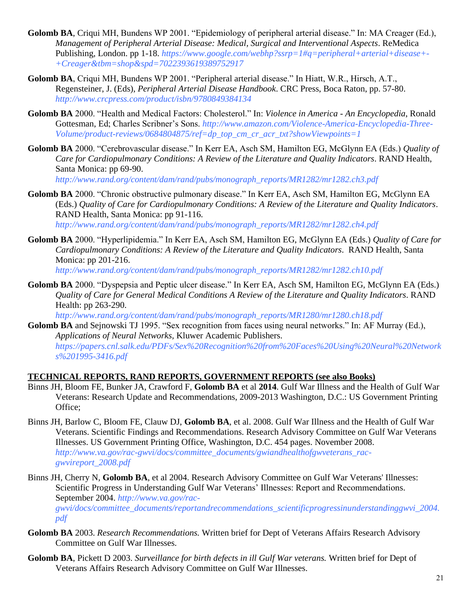- **Golomb BA**, Criqui MH, Bundens WP 2001. "Epidemiology of peripheral arterial disease." In: MA Creager (Ed.), *Management of Peripheral Arterial Disease: Medical, Surgical and Interventional Aspects*. ReMedica Publishing, London. pp 1-18. *[https://www.google.com/webhp?ssrp=1#q=peripheral+arterial+disease+-](https://www.google.com/webhp?ssrp=1#q=peripheral+arterial+disease+-+Creager&tbm=shop&spd=7022393619389752917) [+Creager&tbm=shop&spd=7022393619389752917](https://www.google.com/webhp?ssrp=1#q=peripheral+arterial+disease+-+Creager&tbm=shop&spd=7022393619389752917)*
- **Golomb BA**, Criqui MH, Bundens WP 2001. "Peripheral arterial disease." In Hiatt, W.R., Hirsch, A.T., Regensteiner, J. (Eds), *Peripheral Arterial Disease Handbook*. CRC Press, Boca Raton, pp. 57-80. *http://www.crcpress.com/product/isbn/9780849384134*
- **Golomb BA** 2000. "Health and Medical Factors: Cholesterol." In: *Violence in America - An Encyclopedia*, Ronald Gottesman, Ed; Charles Scribner's Sons. *[http://www.amazon.com/Violence-America-Encyclopedia-Three-](http://www.amazon.com/Violence-America-Encyclopedia-Three-Volume/product-reviews/0684804875/ref=dp_top_cm_cr_acr_txt?showViewpoints=1)[Volume/product-reviews/0684804875/ref=dp\\_top\\_cm\\_cr\\_acr\\_txt?showViewpoints=1](http://www.amazon.com/Violence-America-Encyclopedia-Three-Volume/product-reviews/0684804875/ref=dp_top_cm_cr_acr_txt?showViewpoints=1)*
- **Golomb BA** 2000. "Cerebrovascular disease." In Kerr EA, Asch SM, Hamilton EG, McGlynn EA (Eds.) *Quality of Care for Cardiopulmonary Conditions: A Review of the Literature and Quality Indicators*. RAND Health, Santa Monica: pp 69-90.

*[http://www.rand.org/content/dam/rand/pubs/monograph\\_reports/MR1282/mr1282.ch3.pdf](http://www.rand.org/content/dam/rand/pubs/monograph_reports/MR1282/mr1282.ch3.pdf)*

- **Golomb BA** 2000. "Chronic obstructive pulmonary disease." In Kerr EA, Asch SM, Hamilton EG, McGlynn EA (Eds.) *Quality of Care for Cardiopulmonary Conditions: A Review of the Literature and Quality Indicators*. RAND Health, Santa Monica: pp 91-116. *[http://www.rand.org/content/dam/rand/pubs/monograph\\_reports/MR1282/mr1282.ch4.pdf](http://www.rand.org/content/dam/rand/pubs/monograph_reports/MR1282/mr1282.ch4.pdf)*
- **Golomb BA** 2000. "Hyperlipidemia." In Kerr EA, Asch SM, Hamilton EG, McGlynn EA (Eds.) *Quality of Care for Cardiopulmonary Conditions: A Review of the Literature and Quality Indicators*. RAND Health, Santa Monica: pp 201-216.

*[http://www.rand.org/content/dam/rand/pubs/monograph\\_reports/MR1282/mr1282.ch10.pdf](http://www.rand.org/content/dam/rand/pubs/monograph_reports/MR1282/mr1282.ch10.pdf)*

Golomb BA 2000. "Dyspepsia and Peptic ulcer disease." In Kerr EA, Asch SM, Hamilton EG, McGlynn EA (Eds.) *Quality of Care for General Medical Conditions A Review of the Literature and Quality Indicators*. RAND Health: pp 263-290.

*[http://www.rand.org/content/dam/rand/pubs/monograph\\_reports/MR1280/mr1280.ch18.pdf](http://www.rand.org/content/dam/rand/pubs/monograph_reports/MR1280/mr1280.ch18.pdf)*

**Golomb BA** and Sejnowski TJ 1995. "Sex recognition from faces using neural networks." In: AF Murray (Ed.), *Applications of Neural Networks,* Kluwer Academic Publishers. *[https://papers.cnl.salk.edu/PDFs/Sex%20Recognition%20from%20Faces%20Using%20Neural%20Network](https://papers.cnl.salk.edu/PDFs/Sex%20Recognition%20from%20Faces%20Using%20Neural%20Networks%201995-3416.pdf) [s%201995-3416.pdf](https://papers.cnl.salk.edu/PDFs/Sex%20Recognition%20from%20Faces%20Using%20Neural%20Networks%201995-3416.pdf)*

### **TECHNICAL REPORTS, RAND REPORTS, GOVERNMENT REPORTS (see also Books)**

- Binns JH, Bloom FE, Bunker JA, Crawford F, **Golomb BA** et al **2014**. Gulf War Illness and the Health of Gulf War Veterans: Research Update and Recommendations, 2009-2013 Washington, D.C.: US Government Printing Office;
- Binns JH, Barlow C, Bloom FE, Clauw DJ, **Golomb BA**, et al. 2008. Gulf War Illness and the Health of Gulf War Veterans. Scientific Findings and Recommendations. Research Advisory Committee on Gulf War Veterans Illnesses. US Government Printing Office, Washington, D.C. 454 pages. November 2008. *[http://www.va.gov/rac-gwvi/docs/committee\\_documents/gwiandhealthofgwveterans\\_rac](http://www.va.gov/rac-gwvi/docs/committee_documents/gwiandhealthofgwveterans_rac-gwvireport_2008.pdf)[gwvireport\\_2008.pdf](http://www.va.gov/rac-gwvi/docs/committee_documents/gwiandhealthofgwveterans_rac-gwvireport_2008.pdf)*
- Binns JH, Cherry N, **Golomb BA**, et al 2004. Research Advisory Committee on Gulf War Veterans' Illnesses: Scientific Progress in Understanding Gulf War Veterans' Illnesses: Report and Recommendations. September 2004. *[http://www.va.gov/rac](http://www.va.gov/rac-gwvi/docs/committee_documents/reportandrecommendations_scientificprogressinunderstandinggwvi_2004.pdf)[gwvi/docs/committee\\_documents/reportandrecommendations\\_scientificprogressinunderstandinggwvi\\_2004.](http://www.va.gov/rac-gwvi/docs/committee_documents/reportandrecommendations_scientificprogressinunderstandinggwvi_2004.pdf) [pdf](http://www.va.gov/rac-gwvi/docs/committee_documents/reportandrecommendations_scientificprogressinunderstandinggwvi_2004.pdf)*
- **Golomb BA** 2003. *Research Recommendations.* Written brief for Dept of Veterans Affairs Research Advisory Committee on Gulf War Illnesses.
- **Golomb BA**, Pickett D 2003. *Surveillance for birth defects in ill Gulf War veterans.* Written brief for Dept of Veterans Affairs Research Advisory Committee on Gulf War Illnesses.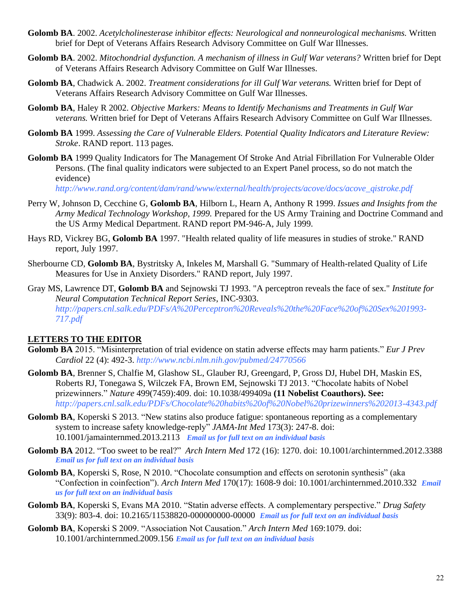- **Golomb BA**. 2002. *Acetylcholinesterase inhibitor effects: Neurological and nonneurological mechanisms.* Written brief for Dept of Veterans Affairs Research Advisory Committee on Gulf War Illnesses.
- **Golomb BA**. 2002. *Mitochondrial dysfunction. A mechanism of illness in Gulf War veterans?* Written brief for Dept of Veterans Affairs Research Advisory Committee on Gulf War Illnesses.
- **Golomb BA**, Chadwick A. 2002. *Treatment considerations for ill Gulf War veterans.* Written brief for Dept of Veterans Affairs Research Advisory Committee on Gulf War Illnesses.
- **Golomb BA**, Haley R 2002. *Objective Markers: Means to Identify Mechanisms and Treatments in Gulf War veterans.* Written brief for Dept of Veterans Affairs Research Advisory Committee on Gulf War Illnesses.
- **Golomb BA** 1999. *Assessing the Care of Vulnerable Elders. Potential Quality Indicators and Literature Review: Stroke*. RAND report. 113 pages.
- **Golomb BA** 1999 Quality Indicators for The Management Of Stroke And Atrial Fibrillation For Vulnerable Older Persons. (The final quality indicators were subjected to an Expert Panel process, so do not match the evidence)

*[http://www.rand.org/content/dam/rand/www/external/health/projects/acove/docs/acove\\_qistroke.pdf](http://www.rand.org/content/dam/rand/www/external/health/projects/acove/docs/acove_qistroke.pdf)*

- Perry W, Johnson D, Cecchine G, **Golomb BA**, Hilborn L, Hearn A, Anthony R 1999. *Issues and Insights from the Army Medical Technology Workshop, 1999.* Prepared for the US Army Training and Doctrine Command and the US Army Medical Department. RAND report PM-946-A, July 1999.
- Hays RD, Vickrey BG, **Golomb BA** 1997. "Health related quality of life measures in studies of stroke." RAND report, July 1997.
- Sherbourne CD, **Golomb BA**, Bystritsky A, Inkeles M, Marshall G. "Summary of Health-related Quality of Life Measures for Use in Anxiety Disorders." RAND report, July 1997.
- Gray MS, Lawrence DT, **Golomb BA** and Sejnowski TJ 1993. "A perceptron reveals the face of sex." *Institute for Neural Computation Technical Report Series*, INC-9303. *http://papers.cnl.salk.edu/PDFs/A%20Perceptron%20Reveals%20the%20Face%20of%20Sex%201993- 717.pdf*

### **LETTERS TO THE EDITOR**

- **Golomb BA** 2015. "Misinterpretation of trial evidence on statin adverse effects may harm patients." *Eur J Prev Cardiol* 22 (4): 492-3. *[http://www.ncbi.nlm.nih.gov/pubmed/24770566](http://cpr.sagepub.com/cgi/reprint/2047487314533085v1.pdf?ijkey=56X4JjjcbzVn7ii&keytype=ref)*
- **Golomb BA**, Brenner S, Chalfie M, Glashow SL, Glauber RJ, Greengard, P, Gross DJ, Hubel DH, Maskin ES, Roberts RJ, Tonegawa S, Wilczek FA, Brown EM, Sejnowski TJ 2013. "Chocolate habits of Nobel prizewinners." *Nature* 499(7459):409. doi: 10.1038/499409a **(11 Nobelist Coauthors). See:**  *http://papers.cnl.salk.edu/PDFs/Chocolate%20habits%20of%20Nobel%20prizewinners%202013-4343.pdf*
- **Golomb BA**, Koperski S 2013. "New statins also produce fatigue: spontaneous reporting as a complementary system to increase safety knowledge-reply" *JAMA-Int Med* 173(3): 247-8. doi: 10.1001/jamainternmed.2013.2113 *Email us for full text on an individual basis*
- **Golomb BA** 2012. "Too sweet to be real?" *Arch Intern Med* 172 (16): 1270. doi: 10.1001/archinternmed.2012.3388 *Email us for full text on an individual basis*
- **Golomb BA**, Koperski S, Rose, N 2010. "Chocolate consumption and effects on serotonin synthesis" (aka "Confection in coinfection"). *Arch Intern Med* 170(17): 1608-9 doi: 10.1001/archinternmed.2010.332 *Email us for full text on an individual basis*
- **Golomb BA**, Koperski S, Evans MA 2010. "Statin adverse effects. A complementary perspective." *Drug Safety* 33(9): 803-4. doi: 10.2165/11538820-000000000-00000 *Email us for full text on an individual basis*
- **Golomb BA**, Koperski S 2009. "Association Not Causation." *Arch Intern Med* 169:1079. doi: 10.1001/archinternmed.2009.156 *Email us for full text on an individual basis*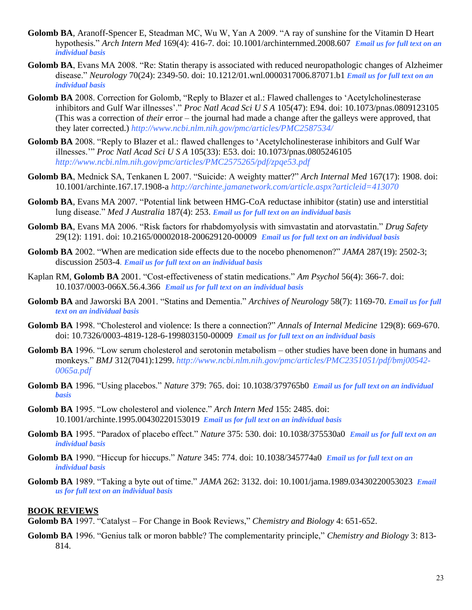- **Golomb BA**, Aranoff-Spencer E, Steadman MC, Wu W, Yan A 2009. "A ray of sunshine for the Vitamin D Heart hypothesis." *Arch Intern Med* 169(4): 416-7. doi: 10.1001/archinternmed.2008.607 *Email us for full text on an individual basis*
- **Golomb BA**, Evans MA 2008. "Re: Statin therapy is associated with reduced neuropathologic changes of Alzheimer disease." *Neurology* 70(24): 2349-50. doi: 10.1212/01.wnl.0000317006.87071.b1 *Email us for full text on an individual basis*
- **Golomb BA** 2008. Correction for Golomb, "Reply to Blazer et al.: Flawed challenges to 'Acetylcholinesterase inhibitors and Gulf War illnesses'." *Proc Natl Acad Sci U S A* 105(47): E94. doi: 10.1073/pnas.0809123105 (This was a correction of *their* error – the journal had made a change after the galleys were approved, that they later corrected.) *http://www.ncbi.nlm.nih.gov/pmc/articles/PMC2587534/*
- **Golomb BA** 2008. "Reply to Blazer et al.: flawed challenges to 'Acetylcholinesterase inhibitors and Gulf War illnesses.'" *Proc Natl Acad Sci U S A* 105(33): E53. doi: 10.1073/pnas.0805246105 *<http://www.ncbi.nlm.nih.gov/pmc/articles/PMC2575265/pdf/zpqe53.pdf>*
- **Golomb BA**, Mednick SA, Tenkanen L 2007. "Suicide: A weighty matter?" *Arch Internal Med* 167(17): 1908. doi: 10.1001/archinte.167.17.1908-a *http://archinte.jamanetwork.com/article.aspx?articleid=413070*
- **Golomb BA**, Evans MA 2007. "Potential link between HMG-CoA reductase inhibitor (statin) use and interstitial lung disease." *Med J Australia* 187(4): 253. *Email us for full text on an individual basis*
- **Golomb BA**, Evans MA 2006. "Risk factors for rhabdomyolysis with simvastatin and atorvastatin." *Drug Safety* 29(12): 1191. doi: 10.2165/00002018-200629120-00009 *Email us for full text on an individual basis*
- **Golomb BA** 2002. "When are medication side effects due to the nocebo phenomenon?" *JAMA* 287(19): 2502-3; discussion 2503-4*. Email us for full text on an individual basis*
- Kaplan RM, **Golomb BA** 2001. "Cost-effectiveness of statin medications." *Am Psychol* 56(4): 366-7. doi: 10.1037/0003-066X.56.4.366 *Email us for full text on an individual basis*
- **Golomb BA** and Jaworski BA 2001. "Statins and Dementia." *Archives of Neurology* 58(7): 1169-70. *Email us for full text on an individual basis*
- **Golomb BA** 1998. "Cholesterol and violence: Is there a connection?" *Annals of Internal Medicine* 129(8): 669-670. doi: 10.7326/0003-4819-128-6-199803150-00009 *Email us for full text on an individual basis*
- **Golomb BA** 1996. "Low serum cholesterol and serotonin metabolism other studies have been done in humans and monkeys." *BMJ* 312(7041):1299. *http://www.ncbi.nlm.nih.gov/pmc/articles/PMC2351051/pdf/bmj00542- 0065a.pdf*
- **Golomb BA** 1996. "Using placebos." *Nature* 379: 765. doi: 10.1038/379765b0 *Email us for full text on an individual basis*
- **Golomb BA** 1995. "Low cholesterol and violence." *Arch Intern Med* 155: 2485. doi: 10.1001/archinte.1995.00430220153019 *Email us for full text on an individual basis*
- **Golomb BA** 1995. "Paradox of placebo effect." *Nature* 375: 530. doi: 10.1038/375530a0 *Email us for full text on an individual basis*
- **Golomb BA** 1990. "Hiccup for hiccups." *Nature* 345: 774. doi: 10.1038/345774a0 *Email us for full text on an individual basis*
- **Golomb BA** 1989. "Taking a byte out of time." *JAMA* 262: 3132. doi: 10.1001/jama.1989.03430220053023 *Email us for full text on an individual basis*

### **BOOK REVIEWS**

**Golomb BA** 1997. "Catalyst – For Change in Book Reviews," *Chemistry and Biology* 4: 651-652.

**Golomb BA** 1996. "Genius talk or moron babble? The complementarity principle," *Chemistry and Biology* 3: 813- 814.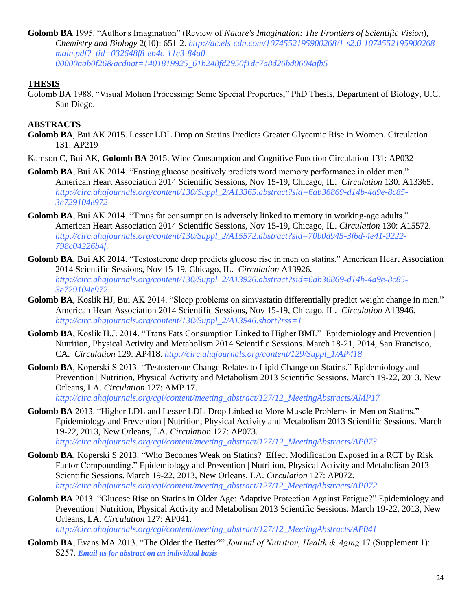**Golomb BA** 1995. "Author's Imagination" (Review of *Nature's Imagination: The Frontiers of Scientific Vision*), *Chemistry and Biology* 2(10): 651-2. *http://ac.els-cdn.com/1074552195900268/1-s2.0-1074552195900268 main.pdf?\_tid=032648f8-eb4c-11e3-84a0- 00000aab0f26&acdnat=1401819925\_61b248fd2950f1dc7a8d26bd0604afb5*

### **THESIS**

Golomb BA 1988. "Visual Motion Processing: Some Special Properties," PhD Thesis, Department of Biology, U.C. San Diego.

### **ABSTRACTS**

- **Golomb BA**, Bui AK 2015. Lesser LDL Drop on Statins Predicts Greater Glycemic Rise in Women. Circulation 131: AP219
- Kamson C, Bui AK, **Golomb BA** 2015. Wine Consumption and Cognitive Function Circulation 131: AP032
- Golomb BA, Bui AK 2014. "Fasting glucose positively predicts word memory performance in older men." American Heart Association 2014 Scientific Sessions, Nov 15-19, Chicago, IL. *Circulation* 130: A13365. *http://circ.ahajournals.org/content/130/Suppl\_2/A13365.abstract?sid=6ab36869-d14b-4a9e-8c85- 3e729104e972*
- **Golomb BA**, Bui AK 2014. "Trans fat consumption is adversely linked to memory in working-age adults." American Heart Association 2014 Scientific Sessions, Nov 15-19, Chicago, IL. *Circulation* 130: A15572. *http://circ.ahajournals.org/content/130/Suppl\_2/A15572.abstract?sid=70b0d945-3f6d-4e41-9222- 798c04226b4f.*
- **Golomb BA**, Bui AK 2014. "Testosterone drop predicts glucose rise in men on statins." American Heart Association 2014 Scientific Sessions, Nov 15-19, Chicago, IL. *Circulation* A13926. *http://circ.ahajournals.org/content/130/Suppl\_2/A13926.abstract?sid=6ab36869-d14b-4a9e-8c85- 3e729104e972*
- Golomb BA, Koslik HJ, Bui AK 2014. "Sleep problems on simvastatin differentially predict weight change in men." American Heart Association 2014 Scientific Sessions, Nov 15-19, Chicago, IL. *Circulation* A13946. *http://circ.ahajournals.org/content/130/Suppl\_2/A13946.short?rss=1*
- **Golomb BA**, Koslik H.J. 2014. "Trans Fats Consumption Linked to Higher BMI." Epidemiology and Prevention | Nutrition, Physical Activity and Metabolism 2014 Scientific Sessions. March 18-21, 2014, San Francisco, CA. *Circulation* 129: AP418. *[http://circ.ahajournals.org/content/129/Suppl\\_1/AP418](http://circ.ahajournals.org/content/129/Suppl_1/AP418)*
- **Golomb BA**, Koperski S 2013. "Testosterone Change Relates to Lipid Change on Statins." Epidemiology and Prevention | Nutrition, Physical Activity and Metabolism 2013 Scientific Sessions. March 19-22, 2013, New Orleans, LA. *Circulation* 127: AMP 17.

*[http://circ.ahajournals.org/cgi/content/meeting\\_abstract/127/12\\_MeetingAbstracts/AMP17](http://circ.ahajournals.org/cgi/content/meeting_abstract/127/12_MeetingAbstracts/AMP17)*

- **Golomb BA** 2013. "Higher LDL and Lesser LDL-Drop Linked to More Muscle Problems in Men on Statins." Epidemiology and Prevention | Nutrition, Physical Activity and Metabolism 2013 Scientific Sessions. March 19-22, 2013, New Orleans, LA. *Circulation* 127: AP073. *[http://circ.ahajournals.org/cgi/content/meeting\\_abstract/127/12\\_MeetingAbstracts/AP073](http://circ.ahajournals.org/cgi/content/meeting_abstract/127/12_MeetingAbstracts/AP073)*
- **Golomb BA**, Koperski S 2013. "Who Becomes Weak on Statins? Effect Modification Exposed in a RCT by Risk Factor Compounding." Epidemiology and Prevention | Nutrition, Physical Activity and Metabolism 2013 Scientific Sessions. March 19-22, 2013, New Orleans, LA. *Circulation* 127: AP072. *[http://circ.ahajournals.org/cgi/content/meeting\\_abstract/127/12\\_MeetingAbstracts/AP072](http://circ.ahajournals.org/cgi/content/meeting_abstract/127/12_MeetingAbstracts/AP072)*
- **Golomb BA** 2013. "Glucose Rise on Statins in Older Age: Adaptive Protection Against Fatigue?" Epidemiology and Prevention | Nutrition, Physical Activity and Metabolism 2013 Scientific Sessions. March 19-22, 2013, New Orleans, LA. *Circulation* 127: AP041.

*[http://circ.ahajournals.org/cgi/content/meeting\\_abstract/127/12\\_MeetingAbstracts/AP041](http://circ.ahajournals.org/cgi/content/meeting_abstract/127/12_MeetingAbstracts/AP041)*

**Golomb BA**, Evans MA 2013. "The Older the Better?" *Journal of Nutrition, Health & Aging* 17 (Supplement 1): S257. *Email us for abstract on an individual basis*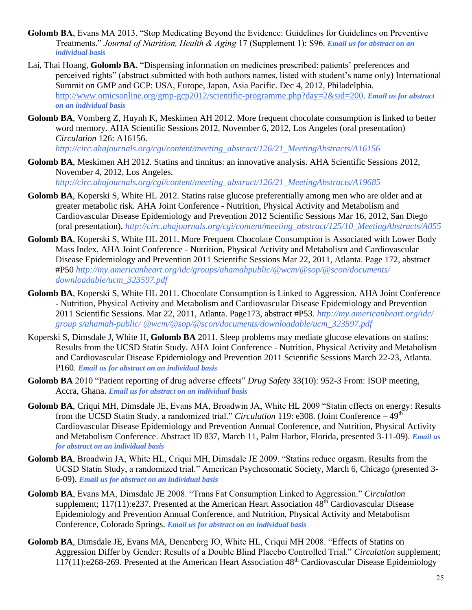- Golomb BA, Evans MA 2013. "Stop Medicating Beyond the Evidence: Guidelines for Guidelines on Preventive Treatments." *Journal of Nutrition, Health & Aging* 17 (Supplement 1): S96. *Email us for abstract on an individual basis*
- Lai, Thai Hoang, **Golomb BA.** "Dispensing information on medicines prescribed: patients' preferences and perceived rights" (abstract submitted with both authors names, listed with student's name only) International Summit on GMP and GCP: USA, Europe, Japan, Asia Pacific. Dec 4, 2012, Philadelphia. [http://www.omicsonline.org/gmp-gcp2012/scientific-programme.php?day=2&sid=200.](http://www.omicsonline.org/gmp-gcp2012/scientific-programme.php?day=2&sid=200) *Email us for abstract on an individual basis*
- **Golomb BA**, Vomberg Z, Huynh K, Meskimen AH 2012. More frequent chocolate consumption is linked to better word memory. AHA Scientific Sessions 2012, November 6, 2012, Los Angeles (oral presentation) *Circulation* 126: A16156.

*[http://circ.ahajournals.org/cgi/content/meeting\\_abstract/126/21\\_MeetingAbstracts/A16156](http://circ.ahajournals.org/cgi/content/meeting_abstract/126/21_MeetingAbstracts/A16156)*

**Golomb BA**, Meskimen AH 2012. Statins and tinnitus: an innovative analysis. AHA Scientific Sessions 2012, November 4, 2012, Los Angeles.

*[http://circ.ahajournals.org/cgi/content/meeting\\_abstract/126/21\\_MeetingAbstracts/A19685](http://circ.ahajournals.org/cgi/content/meeting_abstract/126/21_MeetingAbstracts/A19685)*

- **Golomb BA**, Koperski S, White HL 2012. Statins raise glucose preferentially among men who are older and at greater metabolic risk. AHA Joint Conference - Nutrition, Physical Activity and Metabolism and Cardiovascular Disease Epidemiology and Prevention 2012 Scientific Sessions Mar 16, 2012, San Diego (oral presentation). *[http://circ.ahajournals.org/cgi/content/meeting\\_abstract/125/10\\_MeetingAbstracts/A055](http://circ.ahajournals.org/cgi/content/meeting_abstract/125/10_MeetingAbstracts/A055)*
- **Golomb BA**, Koperski S, White HL 2011. More Frequent Chocolate Consumption is Associated with Lower Body Mass Index. AHA Joint Conference - Nutrition, Physical Activity and Metabolism and Cardiovascular Disease Epidemiology and Prevention 2011 Scientific Sessions Mar 22, 2011, Atlanta. Page 172, abstract #P50 *<http://my.americanheart.org/idc/groups/ahamahpublic/@wcm/@sop/@scon/documents/> downloadable/ucm\_323597.pdf*
- **Golomb BA**, Koperski S, White HL 2011. Chocolate Consumption is Linked to Aggression. AHA Joint Conference - Nutrition, Physical Activity and Metabolism and Cardiovascular Disease Epidemiology and Prevention 2011 Scientific Sessions. Mar 22, 2011, Atlanta. Page173, abstract #P53. *<http://my.americanheart.org/idc/> group s/ahamah-public/ @wcm/@sop/@scon/documents/downloadable/ucm\_323597.pdf*
- Koperski S, Dimsdale J, White H, **Golomb BA** 2011. Sleep problems may mediate glucose elevations on statins: Results from the UCSD Statin Study. AHA Joint Conference - Nutrition, Physical Activity and Metabolism and Cardiovascular Disease Epidemiology and Prevention 2011 Scientific Sessions March 22-23, Atlanta. P160. *Email us for abstract on an individual basis*
- **Golomb BA** 2010 "Patient reporting of drug adverse effects" *Drug Safety* 33(10): 952-3 From: ISOP meeting, Accra, Ghana. *Email us for abstract on an individual basis*
- **Golomb BA**, Criqui MH, Dimsdale JE, Evans MA, Broadwin JA, White HL 2009 "Statin effects on energy: Results from the UCSD Statin Study, a randomized trial." *Circulation* 119: e308. (Joint Conference – 49th Cardiovascular Disease Epidemiology and Prevention Annual Conference, and Nutrition, Physical Activity and Metabolism Conference. Abstract ID 837, March 11, Palm Harbor, Florida, presented 3-11-09). *Email us for abstract on an individual basis*
- **Golomb BA**, Broadwin JA, White HL, Criqui MH, Dimsdale JE 2009. "Statins reduce orgasm. Results from the UCSD Statin Study, a randomized trial." American Psychosomatic Society, March 6, Chicago (presented 3- 6-09). *Email us for abstract on an individual basis*
- **Golomb BA**, Evans MA, Dimsdale JE 2008. "Trans Fat Consumption Linked to Aggression." *Circulation*  supplement; 117(11):e237. Presented at the American Heart Association 48<sup>th</sup> Cardiovascular Disease Epidemiology and Prevention Annual Conference, and Nutrition, Physical Activity and Metabolism Conference, Colorado Springs. *Email us for abstract on an individual basis*
- **Golomb BA**, Dimsdale JE, Evans MA, Denenberg JO, White HL, Criqui MH 2008. "Effects of Statins on Aggression Differ by Gender: Results of a Double Blind Placebo Controlled Trial." *Circulation* supplement; 117(11):e268-269. Presented at the American Heart Association 48th Cardiovascular Disease Epidemiology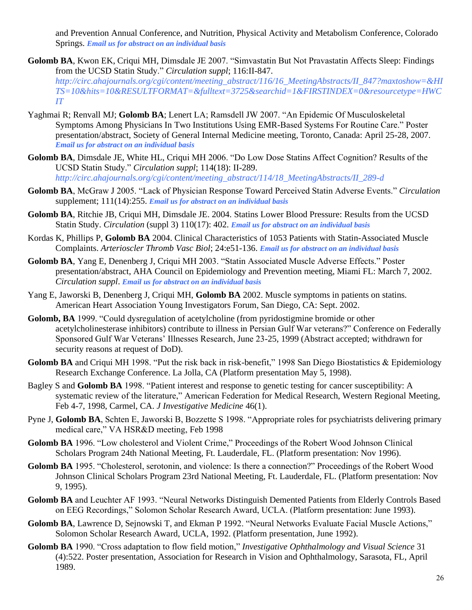and Prevention Annual Conference, and Nutrition, Physical Activity and Metabolism Conference, Colorado Springs. *Email us for abstract on an individual basis*

- **Golomb BA**, Kwon EK, Criqui MH, Dimsdale JE 2007. "Simvastatin But Not Pravastatin Affects Sleep: Findings from the UCSD Statin Study." *Circulation suppl*; 116:II-847. *[http://circ.ahajournals.org/cgi/content/meeting\\_abstract/116/16\\_MeetingAbstracts/II\\_847?maxtoshow=&HI](http://circ.ahajournals.org/cgi/content/meeting_abstract/116/16_MeetingAbstracts/II_847?maxtoshow=&HITS=10&hits=10&RESULTFORMAT=&fulltext=3725&searchid=1&FIRSTINDEX=0&resourcetype=HWCIT) [TS=10&hits=10&RESULTFORMAT=&fulltext=3725&searchid=1&FIRSTINDEX=0&resourcetype=HWC](http://circ.ahajournals.org/cgi/content/meeting_abstract/116/16_MeetingAbstracts/II_847?maxtoshow=&HITS=10&hits=10&RESULTFORMAT=&fulltext=3725&searchid=1&FIRSTINDEX=0&resourcetype=HWCIT) [IT](http://circ.ahajournals.org/cgi/content/meeting_abstract/116/16_MeetingAbstracts/II_847?maxtoshow=&HITS=10&hits=10&RESULTFORMAT=&fulltext=3725&searchid=1&FIRSTINDEX=0&resourcetype=HWCIT)*
- Yaghmai R; Renvall MJ; **Golomb BA**; Lenert LA; Ramsdell JW 2007. "An Epidemic Of Musculoskeletal Symptoms Among Physicians In Two Institutions Using EMR-Based Systems For Routine Care." Poster presentation/abstract, Society of General Internal Medicine meeting, Toronto, Canada: April 25-28, 2007. *Email us for abstract on an individual basis*
- **Golomb BA**, Dimsdale JE, White HL, Criqui MH 2006. "Do Low Dose Statins Affect Cognition? Results of the UCSD Statin Study." *Circulation suppl*; 114(18): II-289. *[http://circ.ahajournals.org/cgi/content/meeting\\_abstract/114/18\\_MeetingAbstracts/II\\_289-d](http://circ.ahajournals.org/cgi/content/meeting_abstract/114/18_MeetingAbstracts/II_289-d)*
- **Golomb BA**, McGraw J 2005. "Lack of Physician Response Toward Perceived Statin Adverse Events." *Circulation* supplement; 111(14):255. *Email us for abstract on an individual basis*
- **Golomb BA**, Ritchie JB, Criqui MH, Dimsdale JE. 2004. Statins Lower Blood Pressure: Results from the UCSD Statin Study. *Circulation* (suppl 3) 110(17): 402. *Email us for abstract on an individual basis*
- Kordas K, Phillips P, **Golomb BA** 2004. Clinical Characteristics of 1053 Patients with Statin-Associated Muscle Complaints. *Arterioscler Thromb Vasc Biol*; 24:e51-136. *Email us for abstract on an individual basis*
- **Golomb BA**, Yang E, Denenberg J, Criqui MH 2003. "Statin Associated Muscle Adverse Effects." Poster presentation/abstract, AHA Council on Epidemiology and Prevention meeting, Miami FL: March 7, 2002. *Circulation suppl*. *Email us for abstract on an individual basis*
- Yang E, Jaworski B, Denenberg J, Criqui MH, **Golomb BA** 2002. Muscle symptoms in patients on statins. American Heart Association Young Investigators Forum, San Diego, CA: Sept. 2002.
- **Golomb, BA** 1999. "Could dysregulation of acetylcholine (from pyridostigmine bromide or other acetylcholinesterase inhibitors) contribute to illness in Persian Gulf War veterans?" Conference on Federally Sponsored Gulf War Veterans' Illnesses Research, June 23-25, 1999 (Abstract accepted; withdrawn for security reasons at request of DoD).
- Golomb BA and Criqui MH 1998. "Put the risk back in risk-benefit," 1998 San Diego Biostatistics & Epidemiology Research Exchange Conference. La Jolla, CA (Platform presentation May 5, 1998).
- Bagley S and **Golomb BA** 1998. "Patient interest and response to genetic testing for cancer susceptibility: A systematic review of the literature," American Federation for Medical Research, Western Regional Meeting, Feb 4-7, 1998, Carmel, CA. *J Investigative Medicine* 46(1).
- Pyne J, **Golomb BA**, Schten E, Jaworski B, Bozzette S 1998. "Appropriate roles for psychiatrists delivering primary medical care," VA HSR&D meeting, Feb 1998
- **Golomb BA** 1996. "Low cholesterol and Violent Crime," Proceedings of the Robert Wood Johnson Clinical Scholars Program 24th National Meeting, Ft. Lauderdale, FL. (Platform presentation: Nov 1996).
- **Golomb BA** 1995. "Cholesterol, serotonin, and violence: Is there a connection?" Proceedings of the Robert Wood Johnson Clinical Scholars Program 23rd National Meeting, Ft. Lauderdale, FL. (Platform presentation: Nov 9, 1995).
- **Golomb BA** and Leuchter AF 1993. "Neural Networks Distinguish Demented Patients from Elderly Controls Based on EEG Recordings," Solomon Scholar Research Award, UCLA. (Platform presentation: June 1993).
- **Golomb BA**, Lawrence D, Sejnowski T, and Ekman P 1992. "Neural Networks Evaluate Facial Muscle Actions," Solomon Scholar Research Award, UCLA, 1992. (Platform presentation, June 1992).
- **Golomb BA** 1990. "Cross adaptation to flow field motion," *Investigative Ophthalmology and Visual Science* 31 (4):522. Poster presentation, Association for Research in Vision and Ophthalmology, Sarasota, FL, April 1989.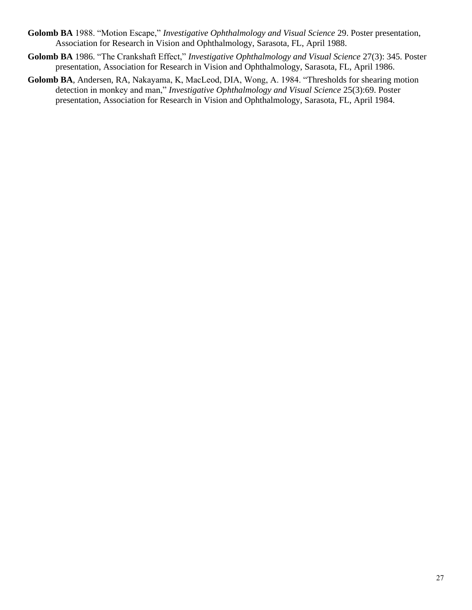- **Golomb BA** 1988. "Motion Escape," *Investigative Ophthalmology and Visual Science* 29. Poster presentation, Association for Research in Vision and Ophthalmology, Sarasota, FL, April 1988.
- **Golomb BA** 1986. "The Crankshaft Effect," *Investigative Ophthalmology and Visual Science* 27(3): 345. Poster presentation, Association for Research in Vision and Ophthalmology, Sarasota, FL, April 1986.
- **Golomb BA**, Andersen, RA, Nakayama, K, MacLeod, DIA, Wong, A. 1984. "Thresholds for shearing motion detection in monkey and man," *Investigative Ophthalmology and Visual Science* 25(3):69. Poster presentation, Association for Research in Vision and Ophthalmology, Sarasota, FL, April 1984.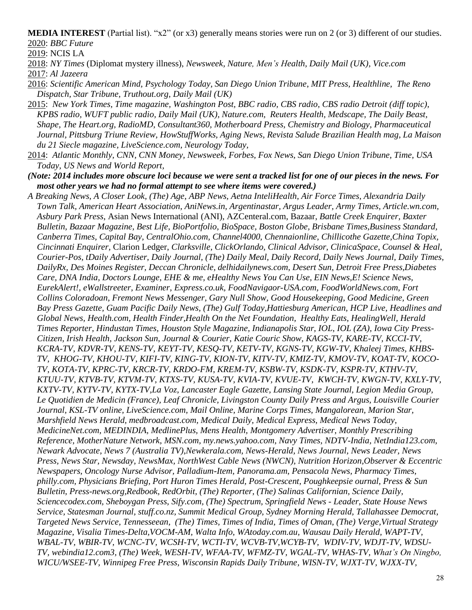**MEDIA INTEREST** (Partial list). "x2" (or x3) generally means stories were run on 2 (or 3) different of our studies. 2020: *BBC Future*

2019: NCIS LA

- 2018: *NY Times* (Diplomat mystery illness), *Newsweek, Nature, Men's Health, Daily Mail (UK), Vice.com*
- 2017: *Al Jazeera*
- 2016: *Scientific American Mind, Psychology Today, San Diego Union Tribune*, *MIT Press, Healthline, The Reno Dispatch, Star Tribune, Truthout.org, Daily Mail (UK)*
- 2015: *New York Times, Time magazine, Washington Post, BBC radio, CBS radio, CBS radio Detroit (diff topic), KPBS radio, WUFT public radio, Daily Mail (UK), Nature.com, Reuters Health, Medscape, The Daily Beast, Shape, The Heart.org, RadioMD, Consultant360, Motherboard Press, Chemistry and Biology, Pharmaceutical Journal, Pittsburg Triune Review, HowStuffWorks, Aging News, Revista Salude Brazilian Health mag, La Maison du 21 Siecle magazine, LiveScience.com, Neurology Today,*
- 2014: *Atlantic Monthly, CNN, CNN Money, Newsweek*, *Forbes, Fox News, San Diego Union Tribune, Time, USA Today, US News and World Report,*
- *(Note: 2014 includes more obscure loci because we were sent a tracked list for one of our pieces in the news. For most other years we had no formal attempt to see where items were covered.)*
- *A Breaking News, A Closer Look, (The) Age, ABP News, Aetna InteliHealth, Air Force Times, Alexandria Daily Town Talk, American Heart Association, AniNews.in, Argentinastar, Argus Leader, Army Times, Article.wn.com, Asbury Park Press*, Asian News International (ANI), AZCenteral.com, Bazaar, *Battle Creek Enquirer, Baxter Bulletin, Bazaar Magazine, Best Life, BioPortfolio, BioSpace, Boston Globe, Brisbane Times,Business Standard, Canberra Times, Capital Bay, CentralOhio.com, Channel4000, Chennaionline, Chillicothe Gazette,China Topix, Cincinnati Enquirer,* Clarion Ledger, *Clarksville, ClickOrlando, Clinical Advisor, ClinicaSpace, Counsel & Heal, Courier-Pos, tDaily Advertiser, Daily Journal, (The) Daily Meal, Daily Record, Daily News Journal, Daily Times, DailyRx, Des Moines Register, Deccan Chronicle, delhidailynews.com, Desert Sun, Detroit Free Press,Diabetes Care, DNA India, Doctors Lounge, EHE & me, eHealthy News You Can Use, EIN News,E! Science News, EurekAlert!, eWallstreeter, Examiner, Express.co.uk, FoodNavigaor-USA.com, FoodWorldNews.com, Fort Collins Coloradoan, Fremont News Messenger, Gary Null Show, Good Housekeeping, Good Medicine, Green Bay Press Gazette, Guam Pacific Daily News, (The) Gulf Today,Hattiesburg American, HCP Live, Headlines and Global News, Health.com, Health Finder,Health On the Net Foundation, Healthy Eats, HealingWell, Herald Times Reporter, Hindustan Times, Houston Style Magazine, Indianapolis Star, IOL, IOL (ZA), Iowa City Press-Citizen, Irish Health, Jackson Sun, Journal & Courier, Katie Couric Show, KAGS-TV, KARE-TV, KCCI-TV, KCRA-TV, KDVR-TV, KENS-TV, KEYT-TV, KESQ-TV, KETV-TV, KGNS-TV, KGW-TV, Khaleej Times, KHBS-TV, KHOG-TV, KHOU-TV, KIFI-TV, KING-TV, KION-TV, KITV-TV, KMIZ-TV, KMOV-TV, KOAT-TV, KOCO-TV, KOTA-TV, KPRC-TV, KRCR-TV, KRDO-FM, KREM-TV, KSBW-TV, KSDK-TV, KSPR-TV, KTHV-TV, KTUU-TV, KTVB-TV, KTVM-TV, KTXS-TV, KUSA-TV, KVIA-TV, KVUE-TV, KWCH-TV, KWGN-TV, KXLY-TV, KXTV-TV, KYTV-TV, KYTX-TV,La Voz, Lancaster Eagle Gazette, Lansing State Journal, Legion Media Group, Le Quotidien de Medicin (France), Leaf Chronicle, Livingston County Daily Press and Argus, Louisville Courier Journal, KSL-TV online, LiveScience.com, Mail Online, Marine Corps Times, Mangalorean, Marion Star, Marshfield News Herald, medbroadcast.com, Medical Daily, Medical Express, Medical News Today, MedicineNet.com, MEDINDIA, MedlinePlus, Mens Health, Montgomery Advertiser, Monthly Prescribing Reference, MotherNature Network, MSN.com, my.news.yahoo.com, Navy Times, NDTV-India, NetIndia123.com, Newark Advocate, News 7 (Australia TV),Newkerala.com, News-Herald, News Journal, News Leader, News Press, News Star, Newsday, NewsMax, NorthWest Cable News (NWCN), Nutrition Horizon,Observer & Eccentric Newspapers, Oncology Nurse Advisor, Palladium-Item, Panorama.am, Pensacola News, Pharmacy Times, philly.com, Physicians Briefing, Port Huron Times Herald, Post-Crescent, Poughkeepsie ournal, Press & Sun Bulletin, Press-news.org,Redbook, RedOrbit, (The) Reporter, (The) Salinas Californian, Science Daily, Sciencecodex.com, Sheboygan Press, Sify.com, (The) Spectrum, Springfield News - Leader, State House News Service, Statesman Journal, stuff.co.nz, Summit Medical Group, Sydney Morning Herald, Tallahassee Democrat, Targeted News Service, Tennesseean, (The) Times, Times of India, Times of Oman, (The) Verge,Virtual Strategy Magazine, Visalia Times-Delta,VOCM-AM, Walta Info, WAtoday.com.au, Wausau Daily Herald, WAPT-TV, WBAL-TV, WBIR-TV, WCNC-TV, WCSH-TV, WCTI-TV, WCVB-TV,WCYB-TV, WDIV-TV, WDJT-TV, WDSU-TV, webindia12.com3, (The) Week, WESH-TV, WFAA-TV, WFMZ-TV, WGAL-TV, WHAS-TV, What's On Ningbo, WICU/WSEE-TV, Winnipeg Free Press, Wisconsin Rapids Daily Tribune, WISN-TV, WJXT-TV, WJXX-TV,*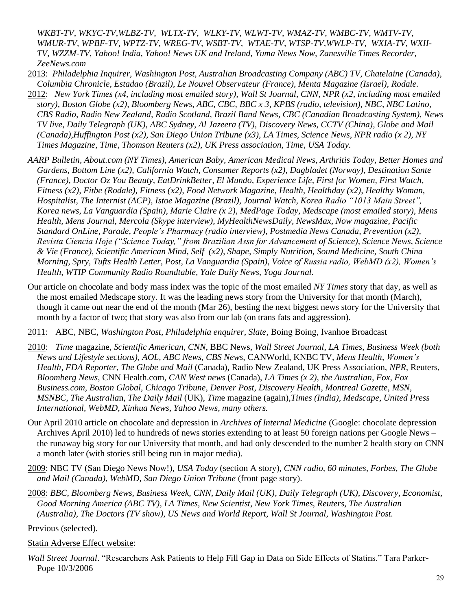*WKBT-TV, WKYC-TV,WLBZ-TV, WLTX-TV, WLKY-TV, WLWT-TV, WMAZ-TV, WMBC-TV, WMTV-TV, WMUR-TV, WPBF-TV, WPTZ-TV, WREG-TV, WSBT-TV, WTAE-TV, WTSP-TV,WWLP-TV, WXIA-TV, WXII-TV, WZZM-TV, Yahoo! India, Yahoo! News UK and Ireland, Yuma News Now, Zanesville Times Recorder, ZeeNews.com*

2013: *Philadelphia Inquirer, Washington Post, Australian Broadcasting Company (ABC) TV, Chatelaine (Canada), Columbia Chronicle, Estadao (Brazil), Le Nouvel Observateur (France), Menta Magazine (Israel), Rodale.*

- 2012: *New York Times (x4, including most emailed story), Wall St Journal, CNN, NPR (x2, including most emailed story), Boston Globe (x2), Bloomberg News, ABC, CBC, BBC x 3, KPBS (radio, television), NBC, NBC Latino, CBS Radio, Radio New Zealand, Radio Scotland, Brazil Band News, CBC (Canadian Broadcasting System), News TV live, Daily Telegraph (UK), ABC Sydney, Al Jazeera (TV), Discovery News, CCTV (China), Globe and Mail (Canada),Huffington Post (x2), San Diego Union Tribune (x3), LA Times, Science News, NPR radio (x 2), NY Times Magazine, Time, Thomson Reuters (x2), UK Press association, Time, USA Today.*
- *AARP Bulletin, About.com (NY Times), American Baby, American Medical News, Arthritis Today, Better Homes and Gardens, Bottom Line (x2), California Watch, Consumer Reports (x2), Dagbladet (Norway), Destination Sante (France), Doctor Oz You Beauty, EatDrinkBetter, El Mundo, Experience Life, First for Women, First Watch, Fitness (x2), Fitbe (Rodale), Fitness (x2), Food Network Magazine, Health, Healthday (x2), Healthy Woman, Hospitalist, The Internist (ACP), Istoe Magazine (Brazil), Journal Watch, Korea Radio "1013 Main Street", Korea news, La Vanguardia (Spain), Marie Claire (x 2), MedPage Today, Medscape (most emailed story), Mens Health, Mens Journal, Mercola (Skype interview), MyHealthNewsDaily, NewsMax, Now magazine, Pacific Standard OnLine, Parade, People's Pharmacy (radio interview), Postmedia News Canada, Prevention (x2), Revista Ciencia Hoje ("Science Today," from Brazilian Assn for Advancement of Science), Science News, Science & Vie (France), Scientific American Mind, Self (x2), Shape, Simply Nutrition, Sound Medicine, South China Morning, Spry, Tufts Health Letter, Post, La Vanguardia (Spain), Voice of Russia radio, WebMD (x2), Women's Health, WTIP Community Radio Roundtable, Yale Daily News, Yoga Journal.*
- Our article on chocolate and body mass index was the topic of the most emailed *NY Times* story that day, as well as the most emailed Medscape story. It was the leading news story from the University for that month (March), though it came out near the end of the month (Mar 26), besting the next biggest news story for the University that month by a factor of two; that story was also from our lab (on trans fats and aggression).
- 2011: ABC, NBC, *Washington Post, Philadelphia enquirer, Slate*, Boing Boing, Ivanhoe Broadcast
- 2010: *Time* magazine, *Scientific American*, *CNN*, BBC News, *Wall Street Journal*, *LA Times*, *Business Week (both News and Lifestyle sections), AOL, ABC News, CBS News,* CANWorld, KNBC TV, *Mens Health*, *Women's Health*, *FDA Reporter*, *The Globe and Mail* (Canada), Radio New Zealand, UK Press Association, *NPR,* Reuters, *Bloomberg News*, CNN Health.com, *CAN West news* (Canada), *LA Times (x 2), the Australian, Fox, Fox Business.com, Boston Global, Chicago Tribune, Denver Post, Discovery Health*, *Montreal Gazette*, *MSN*, *MSNBC*, *The Australia*n, *The Daily Mail* (UK), *Tim*e magazine (again),*Times (India), Medscape, United Press International, WebMD, Xinhua News, Yahoo News, many others.*
- Our April 2010 article on chocolate and depression in *Archives of Internal Medicine* (Google: chocolate depression Archives April 2010) led to hundreds of news stories extending to at least 50 foreign nations per Google News – the runaway big story for our University that month, and had only descended to the number 2 health story on CNN a month later (with stories still being run in major media).
- 2009: NBC TV (San Diego News Now!), *USA Today* (section A story), *CNN radio, 60 minutes, Forbes, The Globe and Mail (Canada), WebMD, San Diego Union Tribune* (front page story).
- 2008: *BBC, Bloomberg News, Business Week, CNN, Daily Mail (UK), Daily Telegraph (UK), Discovery, Economist, Good Morning America (ABC TV), LA Times, New Scientist, New York Times, Reuters, The Australian (Australia), The Doctors (TV show), US News and World Report, Wall St Journal, Washington Post.*

Previous (selected).

### Statin Adverse Effect website:

*Wall Street Journal*. "Researchers Ask Patients to Help Fill Gap in Data on Side Effects of Statins." Tara Parker-Pope 10/3/2006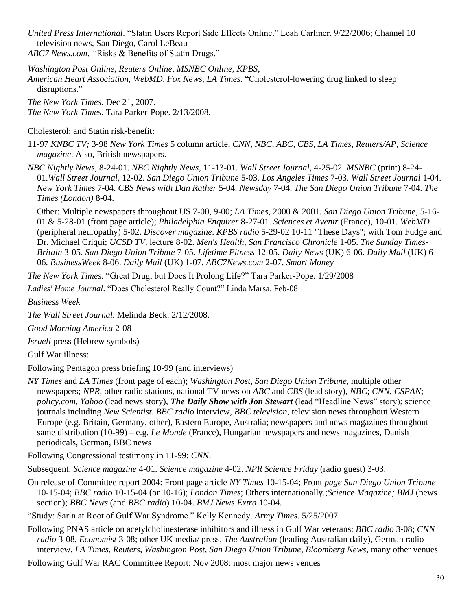*United Press International*. "Statin Users Report Side Effects Online." Leah Carliner. 9/22/2006; Channel 10 television news, San Diego, Carol LeBeau *ABC7 News.com*. *"*Risks & Benefits of Statin Drugs."

*Washington Post Online, Reuters Online, MSNBC Online, KPBS,* 

*American Heart Association, WebMD, Fox News, LA Times*. "Cholesterol-lowering drug linked to sleep disruptions."

*The New York Times.* Dec 21, 2007.

*The New York Times.* Tara Parker-Pope. 2/13/2008.

#### Cholesterol; and Statin risk-benefit:

11-97 *KNBC TV;* 3-98 *New York Times* 5 column article, *CNN, NBC, ABC, CBS, LA Times, Reuters/AP*, *Science magazine*. Also, British newspapers.

*NBC Nightly News*, 8-24-01. *NBC Nightly News*, 11-13-01. *Wall Street Journal*, 4-25-02. *MSNBC* (print) 8-24- 01.*Wall Street Journal*, 12-02. *San Diego Union Tribune* 5-03. *Los Angeles Times* 7-03. *Wall Street Journal* 1-04. *New York Times* 7-04. *CBS News with Dan Rather* 5-04. *Newsday* 7-04. *The San Diego Union Tribune* 7-04. *The Times (London)* 8-04.

 Other: Multiple newspapers throughout US 7-00, 9-00; *LA Times*, 2000 & 2001. *San Diego Union Tribune*, 5-16- 01 & 5-28-01 (front page article); *Philadelphia Enquirer* 8-27-01. *Sciences et Avenir* (France), 10-01. *WebMD*  (peripheral neuropathy) 5-02. *Discover magazine*. *KPBS radio* 5-29-02 10-11 "These Days"; with Tom Fudge and Dr. Michael Criqui; *UCSD TV*, lecture 8-02. *Men's Health*, *San Francisco Chronicle* 1-05. *The Sunday Times-Britain* 3-05. *San Diego Union Tribute* 7-05. *Lifetime Fitness* 12-05. *Daily News* (UK) 6-06. *Daily Mail* (UK) 6- 06. *BusinessWeek* 8-06. *Daily Mail* (UK) 1-07. *ABC7News.com* 2-07. *Smart Money*

*The New York Times.* "Great Drug, but Does It Prolong Life?" Tara Parker-Pope. 1/29/2008

*Ladies' Home Journal*. "Does Cholesterol Really Count?" Linda Marsa. Feb-08

*Business Week*

*The Wall Street Journal.* Melinda Beck. 2/12/2008.

*Good Morning America* 2-08

*Israeli* press (Hebrew symbols)

Gulf War illness:

Following Pentagon press briefing 10-99 (and interviews)

*NY Times* and *LA Times* (front page of each); *Washington Post*, *San Diego Union Tribune*, multiple other newspapers; *NPR*, other radio stations, national TV news on *ABC* and *CBS* (lead story), *NBC*; *CNN*, *CSPAN*; *policy.com, Yahoo* (lead news story), *The Daily Show with Jon Stewart* (lead "Headline News" story); science journals including *New Scientist*. *BBC radio* interview, *BBC television*, television news throughout Western Europe (e.g. Britain, Germany, other), Eastern Europe, Australia; newspapers and news magazines throughout same distribution (10-99) – e.g*. Le Monde* (France), Hungarian newspapers and news magazines, Danish periodicals, German, BBC news

Following Congressional testimony in 11-99: *CNN*.

Subsequent: *Science magazine* 4-01. *Science magazine* 4-02. *NPR Science Friday* (radio guest) 3-03.

On release of Committee report 2004: Front page article *NY Times* 10-15-04; Front *page San Diego Union Tribune* 10-15-04; *BBC radio* 10-15-04 (or 10-16); *London Times*; Others internationally.;*Science Magazine; BMJ* (news section); *BBC News* (and *BBC radio*) 10-04. *BMJ News Extra* 10-04.

"Study: Sarin at Root of Gulf War Syndrome." Kelly Kennedy. *Army Times*. 5/25/2007

Following PNAS article on acetylcholinesterase inhibitors and illness in Gulf War veterans: *BBC radio* 3-08; *CNN radio* 3-08, *Economist* 3-08; other UK media/ press, *The Australian* (leading Australian daily), German radio interview, *LA Times, Reuters, Washington Post, San Diego Union Tribune, Bloomberg News, many other venues* 

Following Gulf War RAC Committee Report: Nov 2008: most major news venues